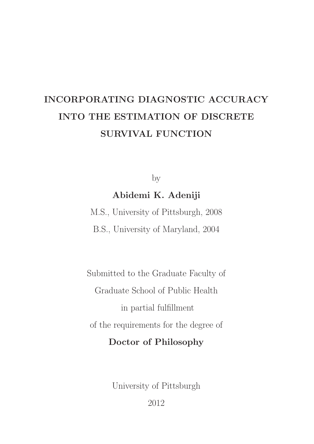# <span id="page-0-0"></span>INCORPORATING DIAGNOSTIC ACCURACY INTO THE ESTIMATION OF DISCRETE SURVIVAL FUNCTION

by

Abidemi K. Adeniji

M.S., University of Pittsburgh, 2008 B.S., University of Maryland, 2004

Submitted to the Graduate Faculty of Graduate School of Public Health in partial fulfillment of the requirements for the degree of Doctor of Philosophy

University of Pittsburgh

2012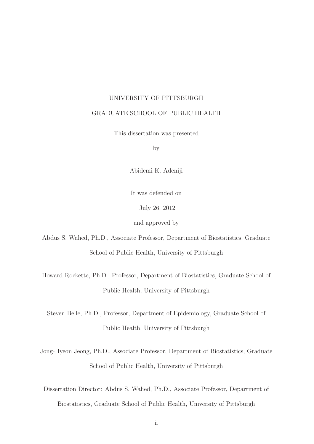## UNIVERSITY OF PITTSBURGH GRADUATE SCHOOL OF PUBLIC HEALTH

This dissertation was presented

by

Abidemi K. Adeniji

It was defended on

July 26, 2012

and approved by

Abdus S. Wahed, Ph.D., Associate Professor, Department of Biostatistics, Graduate School of Public Health, University of Pittsburgh

Howard Rockette, Ph.D., Professor, Department of Biostatistics, Graduate School of Public Health, University of Pittsburgh

Steven Belle, Ph.D., Professor, Department of Epidemiology, Graduate School of Public Health, University of Pittsburgh

Jong-Hyeon Jeong, Ph.D., Associate Professor, Department of Biostatistics, Graduate School of Public Health, University of Pittsburgh

Dissertation Director: Abdus S. Wahed, Ph.D., Associate Professor, Department of Biostatistics, Graduate School of Public Health, University of Pittsburgh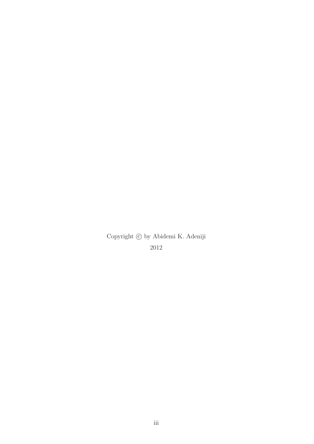Copyright  $\circled{c}$  by Abidemi K. Adeniji 2012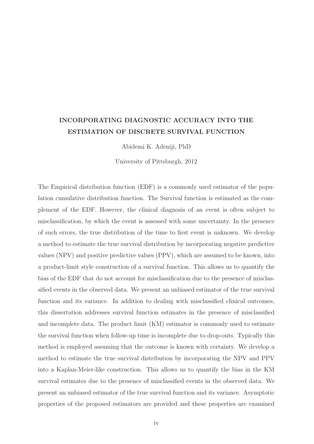### INCORPORATING DIAGNOSTIC ACCURACY INTO THE ESTIMATION OF DISCRETE SURVIVAL FUNCTION

Abidemi K. Adeniji, PhD

University of Pittsburgh, 2012

The Empirical distribution function (EDF) is a commonly used estimator of the population cumulative distribution function. The Survival function is estimated as the complement of the EDF. However, the clinical diagnosis of an event is often subject to misclassification, by which the event is assessed with some uncertainty. In the presence of such errors, the true distribution of the time to first event is unknown. We develop a method to estimate the true survival distribution by incorporating negative predictive values (NPV) and positive predictive values (PPV), which are assumed to be known, into a product-limit style construction of a survival function. This allows us to quantify the bias of the EDF that do not account for misclassification due to the presence of misclassified events in the observed data. We present an unbiased estimator of the true survival function and its variance. In addition to dealing with misclassified clinical outcomes, this dissertation addresses survival function estimates in the presence of misclassified and incomplete data. The product limit (KM) estimator is commonly used to estimate the survival function when follow-up time is incomplete due to drop-outs. Typically this method is employed assuming that the outcome is known with certainty. We develop a method to estimate the true survival distribution by incorporating the NPV and PPV into a Kaplan-Meier-like construction. This allows us to quantify the bias in the KM survival estimates due to the presence of misclassified events in the observed data. We present an unbiased estimator of the true survival function and its variance. Asymptotic properties of the proposed estimators are provided and these properties are examined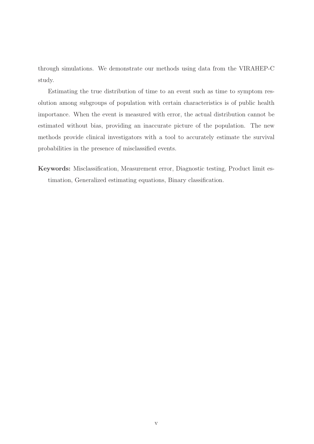through simulations. We demonstrate our methods using data from the VIRAHEP-C study.

Estimating the true distribution of time to an event such as time to symptom resolution among subgroups of population with certain characteristics is of public health importance. When the event is measured with error, the actual distribution cannot be estimated without bias, providing an inaccurate picture of the population. The new methods provide clinical investigators with a tool to accurately estimate the survival probabilities in the presence of misclassified events.

Keywords: Misclassification, Measurement error, Diagnostic testing, Product limit estimation, Generalized estimating equations, Binary classification.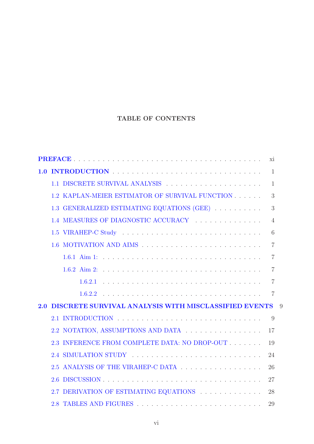### TABLE OF CONTENTS

|     |                                                        | X1             |
|-----|--------------------------------------------------------|----------------|
|     |                                                        | $\mathbf{1}$   |
|     | 1.1 DISCRETE SURVIVAL ANALYSIS                         | $\mathbf{1}$   |
|     | 1.2 KAPLAN-MEIER ESTIMATOR OF SURVIVAL FUNCTION        | 3              |
|     | 1.3 GENERALIZED ESTIMATING EQUATIONS (GEE)             | 3              |
|     | 1.4 MEASURES OF DIAGNOSTIC ACCURACY                    | 4              |
|     |                                                        | 6              |
|     |                                                        | 7              |
|     |                                                        | $\overline{7}$ |
|     |                                                        | 7              |
|     |                                                        | 7              |
|     |                                                        | 7              |
| 2.0 | DISCRETE SURVIVAL ANALYSIS WITH MISCLASSIFIED EVENTS 9 |                |
|     |                                                        | 9              |
|     | 2.2 NOTATION, ASSUMPTIONS AND DATA                     | 17             |
|     | 2.3 INFERENCE FROM COMPLETE DATA: NO DROP-OUT          | 19             |
|     | 2.4 SIMULATION STUDY                                   | 24             |
|     |                                                        | 26             |
|     |                                                        | 27             |
|     | 2.7 DERIVATION OF ESTIMATING EQUATIONS                 | 28             |
|     |                                                        | 29             |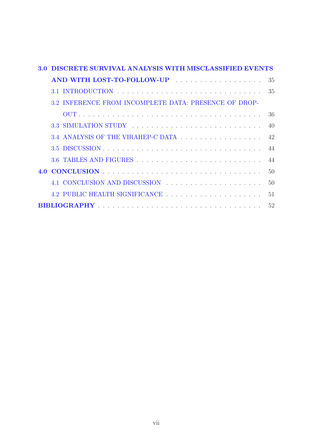| 3 Q | DISCRETE SURVIVAL ANALYSIS WITH MISCLASSIFIED EVENTS  |     |
|-----|-------------------------------------------------------|-----|
|     | AND WITH LOST-TO-FOLLOW-UP                            | -35 |
|     |                                                       |     |
|     | 3.2 INFERENCE FROM INCOMPLETE DATA: PRESENCE OF DROP- |     |
|     |                                                       | 36  |
|     | 3.3 SIMULATION STUDY                                  | 40  |
|     |                                                       | 42  |
|     |                                                       | 44  |
|     |                                                       | 44  |
|     |                                                       | 50  |
|     | 4.1 CONCLUSION AND DISCUSSION                         | 50  |
|     | 4.2 PUBLIC HEALTH SIGNIFICANCE                        | 51  |
|     |                                                       |     |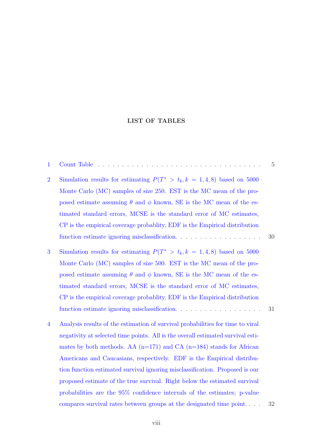### LIST OF TABLES

| $\mathbf{1}$   | $Count$ Table $\ldots$ .<br>the contract of the contract of                                               | $\overline{5}$ |
|----------------|-----------------------------------------------------------------------------------------------------------|----------------|
| $\overline{2}$ | Simulation results for estimating $P(T^* > t_k, k = 1, 4, 8)$ based on 5000                               |                |
|                | Monte Carlo (MC) samples of size 250. EST is the MC mean of the pro-                                      |                |
|                | posed estimate assuming $\theta$ and $\phi$ known, SE is the MC mean of the es-                           |                |
|                | timated standard errors, MCSE is the standard error of MC estimates,                                      |                |
|                | CP is the empirical coverage probability, EDF is the Empirical distribution                               |                |
|                | function estimate ignoring misclassification.                                                             | 30             |
| 3              | Simulation results for estimating $P(T^* > t_k, k = 1, 4, 8)$ based on 5000                               |                |
|                | Monte Carlo (MC) samples of size 500. EST is the MC mean of the pro-                                      |                |
|                | posed estimate assuming $\theta$ and $\phi$ known, SE is the MC mean of the es-                           |                |
|                | timated standard errors, MCSE is the standard error of MC estimates,                                      |                |
|                | CP is the empirical coverage probability, EDF is the Empirical distribution                               |                |
|                | function estimate ignoring misclassification.<br>$\hfill\ldots\ldots\ldots\ldots\ldots\ldots\ldots\ldots$ | 31             |
| $\overline{4}$ | Analysis results of the estimation of survival probabilities for time to viral                            |                |
|                | negativity at selected time points. All is the overall estimated survival esti-                           |                |
|                | mates by both methods. AA $(n=171)$ and CA $(n=184)$ stands for African                                   |                |
|                | Americans and Caucasians, respectively. EDF is the Empirical distribu-                                    |                |
|                | tion function estimated survival ignoring misclassification. Proposed is our                              |                |
|                | proposed estimate of the true survival. Right below the estimated survival                                |                |
|                | probabilities are the 95% confidence intervals of the estimates; p-value                                  |                |
|                | compares survival rates between groups at the designated time point                                       | 32             |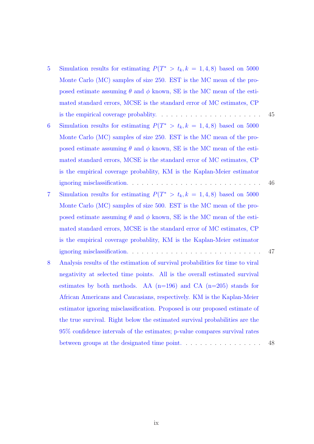- 5 Simulation results for estimating  $P(T^* > t_k, k = 1, 4, 8)$  based on 5000 [Monte Carlo \(MC\) samples of size 2](#page-55-0)50. EST is the MC mean of the proposed estimate assuming  $\theta$  and  $\phi$  known, SE is the MC mean of the estimated standard errors, MCSE is the standard error of MC estimates, CP is the empirical coverage probablity. . . . . . . . . . . . . . . . . . . . . . 45 6 Simulation results for estimating  $P(T^* > t_k, k = 1, 4, 8)$  based on 5000
- [Monte Carlo \(MC\) sampl](#page-56-0)es of size 250. EST is the MC mean of the proposed estimate assuming  $\theta$  and  $\phi$  known, SE is the MC mean of the estimated standard errors, MCSE is the standard error of MC estimates, CP is the empirical coverage probablity, KM is the Kaplan-Meier estimator ignoring misclassification. . . . . . . . . . . . . . . . . . . . . . . . . . . . 46
- 7 Simulation results for estimating  $P(T^* > t_k, k = 1, 4, 8)$  based on 5000 [Monte Carlo \(MC\) sampl](#page-57-0)es of size 500. EST is the MC mean of the proposed estimate assuming  $\theta$  and  $\phi$  known, SE is the MC mean of the estimated standard errors, MCSE is the standard error of MC estimates, CP is the empirical coverage probablity, KM is the Kaplan-Meier estimator ignoring misclassification. . . . . . . . . . . . . . . . . . . . . . . . . . . . 47
- 8 Analysis results of the estimation of survival probabilities for time to viral [negativity at selected time points. All is th](#page-58-0)e overall estimated survival estimates by both methods. AA  $(n=196)$  and CA  $(n=205)$  stands for African Americans and Caucasians, respectively. KM is the Kaplan-Meier estimator ignoring misclassification. Proposed is our proposed estimate of the true survival. Right below the estimated survival probabilities are the 95% confidence intervals of the estimates; p-value compares survival rates between groups at the designated time point. . . . . . . . . . . . . . . . . 48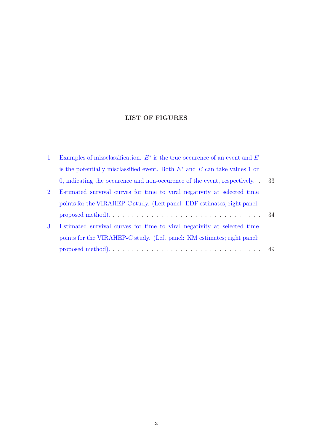### LIST OF FIGURES

| $\mathbf{1}$   | Examples of missclassification. $E^*$ is the true occurence of an event and E                              |    |
|----------------|------------------------------------------------------------------------------------------------------------|----|
|                | is the potentially misclassified event. Both $E^*$ and E can take values 1 or                              |    |
|                | $\alpha$ , indicating the occurence and non-occurence of the event, respectively.                          | 33 |
| $\overline{2}$ | Estimated survival curves for time to viral negativity at selected time                                    |    |
|                | points for the VIRAHEP-C study. (Left panel: EDF estimates; right panel:                                   |    |
|                | proposed method). $\ldots \ldots \ldots \ldots \ldots \ldots \ldots \ldots \ldots \ldots \ldots \ldots 34$ |    |
| 3              | Estimated survival curves for time to viral negativity at selected time                                    |    |
|                | points for the VIRAHEP-C study. (Left panel: KM estimates; right panel:                                    |    |
|                |                                                                                                            |    |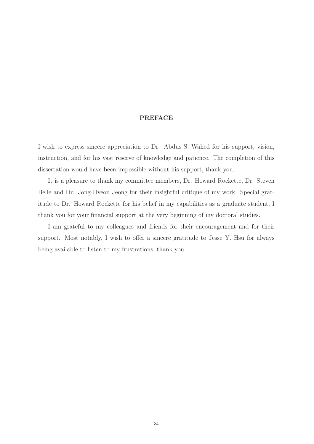#### PREFACE

I wish to express sincere appreciation to Dr. Abdus S. Wahed for his support, vision, instruction, and for his vast reserve of knowledge and patience. The completion of this dissertation would have been impossible without his support, thank you.

It is a pleasure to thank my committee members, Dr. Howard Rockette, Dr. Steven Belle and Dr. Jong-Hyeon Jeong for their insightful critique of my work. Special gratitude to Dr. Howard Rockette for his belief in my capabilities as a graduate student, I thank you for your financial support at the very beginning of my doctoral studies.

I am grateful to my colleagues and friends for their encouragement and for their support. Most notably, I wish to offer a sincere gratitude to Jesse Y. Hsu for always being available to listen to my frustrations, thank you.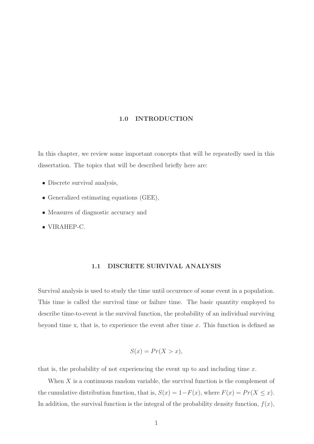#### 1.0 INTRODUCTION

<span id="page-11-0"></span>In this chapter, we review some important concepts that will be repeatedly used in this dissertation. The topics that will be described briefly here are:

- Discrete survival analysis,
- Generalized estimating equations (GEE),
- Measures of diagnostic accuracy and
- <span id="page-11-1"></span>• VIRAHEP-C.

#### 1.1 DISCRETE SURVIVAL ANALYSIS

Survival analysis is used to study the time until occurence of some event in a population. This time is called the survival time or failure time. The basic quantity employed to describe time-to-event is the survival function, the probability of an individual surviving beyond time x, that is, to experience the event after time  $x$ . This function is defined as

$$
S(x) = Pr(X > x),
$$

that is, the probability of not experiencing the event up to and including time  $x$ .

When  $X$  is a continuous random variable, the survival function is the complement of the cumulative distribution function, that is,  $S(x) = 1 - F(x)$ , where  $F(x) = Pr(X \le x)$ . In addition, the survival function is the integral of the probability density function,  $f(x)$ ,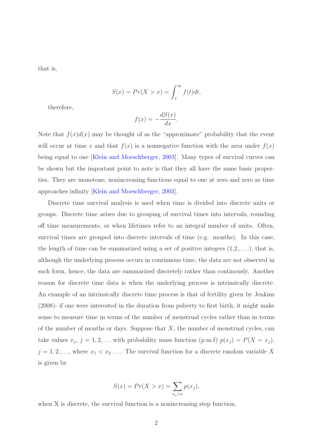that is,

$$
S(x) = Pr(X > x) = \int_x^{\infty} f(t)dt,
$$

therefore,

$$
f(x) = -\frac{dS(x)}{dx}.
$$

Note that  $f(x)d(x)$  may be thought of as the "approximate" probability that the event will occur at time x and that  $f(x)$  is a nonnegative function with the area under  $f(x)$ being equal to one [\[Klein and Moeschberger,](#page-63-0) [2003\]](#page-63-0). Many types of survival curves can be shown but the important point to note is that they all have the same basic properties. They are monotone, nonincreasing functions equal to one at zero and zero as time approaches infinity [\[Klein and Moeschberger,](#page-63-0) [2003](#page-63-0)].

Discrete time survival analysis is used when time is divided into discrete units or groups. Discrete time arises due to grouping of survival times into intervals, rounding off time measurements, or when lifetimes refer to an integral number of units. Often, survival times are grouped into discrete intervals of time (e.g. months). In this case, the length of time can be summarized using a set of positive integers  $(1,2,\ldots)$ , that is, although the underlying process occurs in continuous time, the data are not observed in such form, hence, the data are summarized discretely rather than continously. Another reason for discrete time data is when the underlying process is intrinsically discrete. An example of an intrinsically discrete time process is that of fertility given by Jenkins (2008)- if one were interested in the duration from puberty to first birth, it might make sense to measure time in terms of the number of menstrual cycles rather than in terms of the number of months or days. Suppose that  $X$ , the number of menstrual cycles, can take values  $x_j$ ,  $j = 1, 2, \ldots$  with probability mass function (p.m.f)  $p(x_j) = P(X = x_j)$ ,  $j = 1, 2, \ldots$ , where  $x_1 < x_2 \ldots$ . The survival function for a discrete random variable X is given by

$$
S(x) = Pr(X > x) = \sum_{x_j > x} p(x_j),
$$

when X is discrete, the survival function is a nonincreasing step function.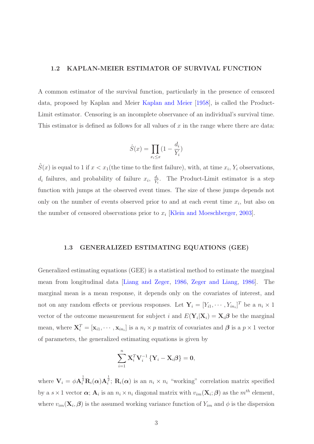#### <span id="page-13-0"></span>1.2 KAPLAN-MEIER ESTIMATOR OF SURVIVAL FUNCTION

A common estimator of the survival function, particularly in the presence of censored data, proposed by Kaplan and Meier [Kaplan and Meier](#page-63-1) [\[1958\]](#page-63-1), is called the Product-Limit estimator. Censoring is an incomplete observance of an individual's survival time. This estimator is defined as follows for all values of  $x$  in the range where there are data:

$$
\hat{S}(x) = \prod_{x_i \le x} (1 - \frac{d_i}{Y_i})
$$

 $\hat{S}(x)$  is equal to 1 if  $x < x_1$  (the time to the first failure), with, at time  $x_i, Y_i$  observations,  $d_i$  failures, and probability of failure  $x_i$ ,  $\frac{d_i}{\gamma_i}$  $\frac{d_i}{Y_i}$ . The Product-Limit estimator is a step function with jumps at the observed event times. The size of these jumps depends not only on the number of events observed prior to and at each event time  $x_i$ , but also on the number of censored observations prior to  $x_i$  [\[Klein and Moeschberger](#page-63-0), [2003](#page-63-0)].

#### <span id="page-13-1"></span>1.3 GENERALIZED ESTIMATING EQUATIONS (GEE)

Generalized estimating equations (GEE) is a statistical method to estimate the marginal mean from longitudinal data [\[Liang and Zeger,](#page-63-2) [1986](#page-63-2), [Zeger and Liang,](#page-64-0) [1986](#page-64-0)]. The marginal mean is a mean response, it depends only on the covariates of interest, and not on any random effects or previous responses. Let  $\mathbf{Y}_i = [Y_{i1}, \cdots, Y_{in_i}]^T$  be a  $n_i \times 1$ vector of the outcome measurement for subject *i* and  $E(\mathbf{Y}_i|\mathbf{X}_i) = \mathbf{X}_i\boldsymbol{\beta}$  be the marginal mean, where  $\mathbf{X}_i^T = [\mathbf{x}_{i1}, \cdots, \mathbf{x}_{in_i}]$  is a  $n_i \times p$  matrix of covariates and  $\boldsymbol{\beta}$  is a  $p \times 1$  vector of parameters, the generalized estimating equations is given by

$$
\sum_{i=1}^{n} \mathbf{X}_{i}^{T} \mathbf{V}_{i}^{-1} \left\{ \mathbf{Y}_{i} - \mathbf{X}_{i} \boldsymbol{\beta} \right\} = \mathbf{0},
$$

where  $\mathbf{V}_i = \phi \mathbf{A}_i^{\frac{1}{2}} \mathbf{R}_i(\alpha) \mathbf{A}_i^{\frac{1}{2}}$ ;  $\mathbf{R}_i(\alpha)$  is an  $n_i \times n_i$  "working" correlation matrix specified by a  $s \times 1$  vector  $\alpha$ ;  $A_i$  is an  $n_i \times n_i$  diagonal matrix with  $v_{im}(\mathbf{X}_i;\boldsymbol{\beta})$  as the  $m^{th}$  element, where  $v_{im}(\mathbf{X}_i, \boldsymbol{\beta})$  is the assumed working variance function of  $Y_{im}$  and  $\phi$  is the dispersion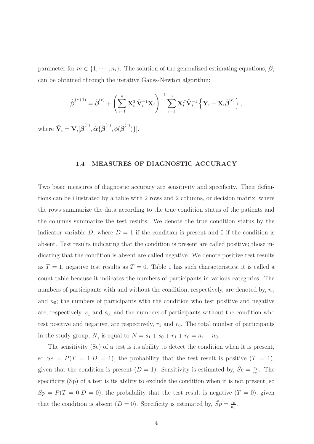parameter for  $m \in \{1, \dots, n_i\}$ . The solution of the generalized estimating equations,  $\hat{\beta}$ , can be obtained through the iterative Gauss-Newton algorithm:

$$
\hat{\boldsymbol{\beta}}^{(r+1)} = \hat{\boldsymbol{\beta}}^{(r)} + \left(\sum_{i=1}^n \mathbf{X}_i^T \tilde{\mathbf{V}}_i^{-1} \mathbf{X}_i\right)^{-1} \sum_{i=1}^n \mathbf{X}_i^T \tilde{\mathbf{V}}_i^{-1} \left\{\mathbf{Y}_i - \mathbf{X}_i \hat{\boldsymbol{\beta}}^{(r)}\right\},\,
$$

<span id="page-14-0"></span>where  $\tilde{\mathbf{V}}_i = \mathbf{V}_i[\hat{\boldsymbol{\beta}}^{(r)}, \hat{\boldsymbol{\alpha}} {\{\hat{\boldsymbol{\beta}}}^{(r)}, \hat{\phi}(\hat{\boldsymbol{\beta}}^{(r)})\}].$ 

#### 1.4 MEASURES OF DIAGNOSTIC ACCURACY

Two basic measures of diagnostic accuracy are sensitivity and specificity. Their definitions can be illustrated by a table with 2 rows and 2 columns, or decision matrix, where the rows summarize the data according to the true condition status of the patients and the columns summarize the test results. We denote the true condition status by the indicator variable D, where  $D = 1$  if the condition is present and 0 if the condition is absent. Test results indicating that the condition is present are called positive; those indicating that the condition is absent are called negative. We denote positive test results as  $T = 1$  $T = 1$ , negative test results as  $T = 0$ . Table 1 has such characteristics; it is called a count table because it indicates the numbers of participants in various categories. The numbers of participants with and without the condition, respectively, are denoted by,  $n_1$ and  $n_0$ ; the numbers of participants with the condition who test positive and negative are, respectively,  $s_1$  and  $s_0$ ; and the numbers of participants without the condition who test positive and negative, are respectively,  $r_1$  and  $r_0$ . The total number of participants in the study group, N, is equal to  $N = s_1 + s_0 + r_1 + r_0 = n_1 + n_0$ .

The sensitivity (Se) of a test is its ability to detect the condition when it is present, so  $Se = P(T = 1|D = 1)$ , the probability that the test result is positive  $(T = 1)$ , given that the condition is present  $(D = 1)$ . Sensitivity is estimated by,  $\hat{Se} = \frac{s_1}{n_1}$  $\frac{s_1}{n_1}$ . The specificity (Sp) of a test is its ability to exclude the condition when it is not present, so  $Sp = P(T = 0|D = 0)$ , the probability that the test result is negative  $(T = 0)$ , given that the condition is absent  $(D = 0)$ . Specificity is estimated by,  $\hat{Sp} = \frac{r_0}{r_0}$  $\frac{r_0}{n_0}$ .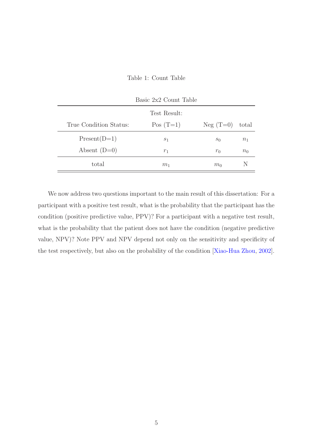<span id="page-15-0"></span>Table 1: Count Table

|                        | Basic 2x2 Count Table |            |       |
|------------------------|-----------------------|------------|-------|
|                        | Test Result:          |            |       |
| True Condition Status: | $Pos(T=1)$            | $Neg(T=0)$ | total |
| $Present(D=1)$         | S <sub>1</sub>        | $s_0$      | $n_1$ |
| Absent $(D=0)$         | $r_1$                 | $r_0$      | $n_0$ |
| total                  | m <sub>1</sub>        | $m_0$      |       |

We now address two questions important to the main result of this dissertation: For a participant with a positive test result, what is the probability that the participant has the condition (positive predictive value, PPV)? For a participant with a negative test result, what is the probability that the patient does not have the condition (negative predictive value, NPV)? Note PPV and NPV depend not only on the sensitivity and specificity of the test respectively, but also on the probability of the condition [\[Xiao-Hua Zhou,](#page-64-1) [2002\]](#page-64-1).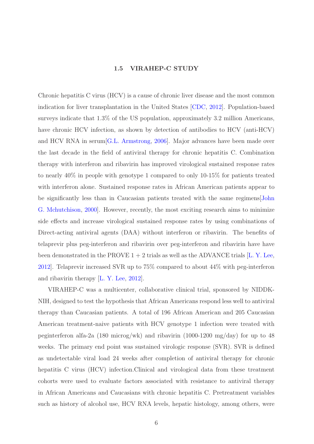#### 1.5 VIRAHEP-C STUDY

<span id="page-16-0"></span>Chronic hepatitis C virus (HCV) is a cause of chronic liver disease and the most common indication for liver transplantation in the United States [\[CDC,](#page-62-1) [2012](#page-62-1)]. Population-based surveys indicate that 1.3% of the US population, approximately 3.2 million Americans, have chronic HCV infection, as shown by detection of antibodies to HCV (anti-HCV) and HCV RNA in serum[\[G.L. Armstrong](#page-62-2), [2006\]](#page-62-2). Major advances have been made over the last decade in the field of antiviral therapy for chronic hepatitis C. Combination therapy with interferon and ribavirin has improved virological sustained response rates to nearly 40% in people with genotype 1 compared to only 10-15% for patients treated with interferon alone. Sustained response rates in African American patients appear to be significantly [less than in Caucasian patients treated with the same regimens\[](#page-63-3)John G. Mchutchison, [2000\]](#page-63-3). However, recently, the most exciting research aims to minimize side effects and increase virological sustained response rates by using combinations of Direct-acting antiviral agents (DAA) without interferon or ribavirin. The benefits of telaprevir plus peg-interferon and ribavirin over peg-interferon and ribavirin have have been demonstrated in the PROVE  $1 + 2$  trials as well as the ADVANCE trials [\[L. Y. Lee,](#page-63-4) [2012](#page-63-4)]. Telaprevir increased SVR up to 75% compared to about 44% with peg-interferon and ribavirin therapy [\[L. Y. Lee,](#page-63-4) [2012](#page-63-4)].

VIRAHEP-C was a multicenter, collaborative clinical trial, sponsored by NIDDK-NIH, designed to test the hypothesis that African Americans respond less well to antiviral therapy than Caucasian patients. A total of 196 African American and 205 Caucasian American treatment-naive patients with HCV genotype 1 infection were treated with peginterferon alfa-2a (180 microg/wk) and ribavirin (1000-1200 mg/day) for up to 48 weeks. The primary end point was sustained virologic response (SVR). SVR is defined as undetectable viral load 24 weeks after completion of antiviral therapy for chronic hepatitis C virus (HCV) infection.Clinical and virological data from these treatment cohorts were used to evaluate factors associated with resistance to antiviral therapy in African Americans and Caucasians with chronic hepatitis C. Pretreatment variables such as history of alcohol use, HCV RNA levels, hepatic histology, among others, were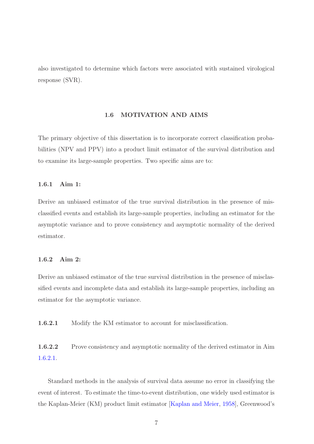<span id="page-17-0"></span>also investigated to determine which factors were associated with sustained virological response (SVR).

#### 1.6 MOTIVATION AND AIMS

The primary objective of this dissertation is to incorporate correct classification probabilities (NPV and PPV) into a product limit estimator of the survival distribution and to examine its large-sample properties. Two specific aims are to:

#### <span id="page-17-1"></span>1.6.1 Aim 1:

Derive an unbiased estimator of the true survival distribution in the presence of misclassified events and establish its large-sample properties, including an estimator for the asymptotic variance and to prove consistency and asymptotic normality of the derived estimator.

#### <span id="page-17-2"></span>1.6.2 Aim 2:

Derive an unbiased estimator of the true survival distribution in the presence of misclassified events and incomplete data and establish its large-sample properties, including an estimator for the asymptotic variance.

<span id="page-17-4"></span><span id="page-17-3"></span>1.6.2.1 Modify the KM estimator to account for misclassification.

1.6.2.2 Prove consistency and asymptotic normality of the derived estimator in Aim [1.6.2.1.](#page-17-3)

Standard methods in the analysis of survival data assume no error in classifying the event of interest. To estimate the time-to-event distribution, one widely used estimator is the Kaplan-Meier (KM) product limit estimator [\[Kaplan and Meier,](#page-63-1) [1958\]](#page-63-1), Greenwood's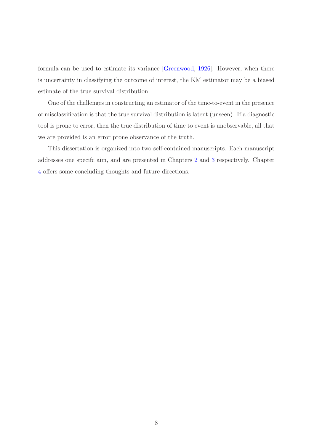formula can be used to estimate its variance [\[Greenwood](#page-62-3), [1926\]](#page-62-3). However, when there is uncertainty in classifying the outcome of interest, the KM estimator may be a biased estimate of the true survival distribution.

One of the challenges in constructing an estimator of the time-to-event in the presence of misclassification is that the true survival distribution is latent (unseen). If a diagnostic tool is prone to error, then the true distribution of time to event is unobservable, all that we are provided is an error prone observance of the truth.

This dissertation is organized into two self-contained manuscripts. Each manuscript addresses one specifc aim, and are presented in Chapters [2](#page-19-0) and [3](#page-45-0) respectively. Chapter [4](#page-60-0) offers some concluding thoughts and future directions.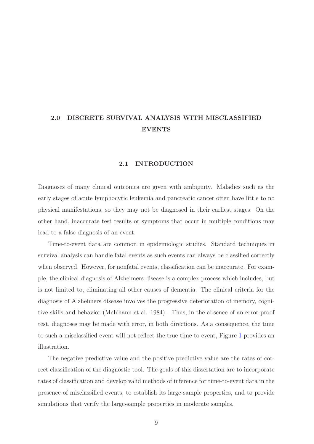### <span id="page-19-1"></span><span id="page-19-0"></span>2.0 DISCRETE SURVIVAL ANALYSIS WITH MISCLASSIFIED EVENTS

#### 2.1 INTRODUCTION

Diagnoses of many clinical outcomes are given with ambiguity. Maladies such as the early stages of acute lymphocytic leukemia and pancreatic cancer often have little to no physical manifestations, so they may not be diagnosed in their earliest stages. On the other hand, inaccurate test results or symptoms that occur in multiple conditions may lead to a false diagnosis of an event.

Time-to-event data are common in epidemiologic studies. Standard techniques in survival analysis can handle fatal events as such events can always be classified correctly when observed. However, for nonfatal events, classification can be inaccurate. For example, the clinical diagnosis of Alzheimers disease is a complex process which includes, but is not limited to, eliminating all other causes of dementia. The clinical criteria for the diagnosis of Alzheimers disease involves the progressive deterioration of memory, cognitive skills and behavior (McKhann et al. 1984) . Thus, in the absence of an error-proof test, diagnoses may be made with error, in both directions. As a consequence, the time to such a misclassified event will not reflect the true time to event, Figure [1](#page-43-0) provides an illustration.

The negative predictive value and the positive predictive value are the rates of correct classification of the diagnostic tool. The goals of this dissertation are to incorporate rates of classification and develop valid methods of inference for time-to-event data in the presence of misclassified events, to establish its large-sample properties, and to provide simulations that verify the large-sample properties in moderate samples.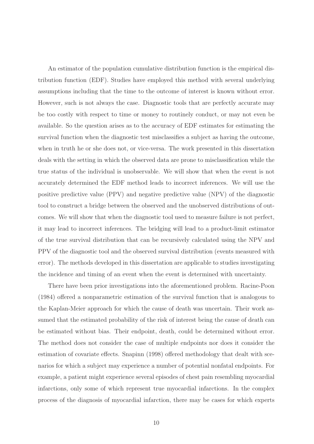An estimator of the population cumulative distribution function is the empirical distribution function (EDF). Studies have employed this method with several underlying assumptions including that the time to the outcome of interest is known without error. However, such is not always the case. Diagnostic tools that are perfectly accurate may be too costly with respect to time or money to routinely conduct, or may not even be available. So the question arises as to the accuracy of EDF estimates for estimating the survival function when the diagnostic test misclassifies a subject as having the outcome, when in truth he or she does not, or vice-versa. The work presented in this dissertation deals with the setting in which the observed data are prone to misclassification while the true status of the individual is unobservable. We will show that when the event is not accurately determined the EDF method leads to incorrect inferences. We will use the positive predictive value (PPV) and negative predictive value (NPV) of the diagnostic tool to construct a bridge between the observed and the unobserved distributions of outcomes. We will show that when the diagnostic tool used to measure failure is not perfect, it may lead to incorrect inferences. The bridging will lead to a product-limit estimator of the true survival distribution that can be recursively calculated using the NPV and PPV of the diagnostic tool and the observed survival distribution (events measured with error). The methods developed in this dissertation are applicable to studies investigating the incidence and timing of an event when the event is determined with uncertainty.

There have been prior investigations into the aforementioned problem. Racine-Poon (1984) offered a nonparametric estimation of the survival function that is analogous to the Kaplan-Meier approach for which the cause of death was uncertain. Their work assumed that the estimated probability of the risk of interest being the cause of death can be estimated without bias. Their endpoint, death, could be determined without error. The method does not consider the case of multiple endpoints nor does it consider the estimation of covariate effects. Snapinn (1998) offered methodology that dealt with scenarios for which a subject may experience a number of potential nonfatal endpoints. For example, a patient might experience several episodes of chest pain resembling myocardial infarctions, only some of which represent true myocardial infarctions. In the complex process of the diagnosis of myocardial infarction, there may be cases for which experts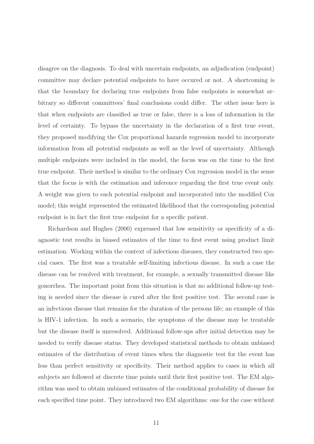disagree on the diagnosis. To deal with uncertain endpoints, an adjudication (endpoint) committee may declare potential endpoints to have occured or not. A shortcoming is that the boundary for declaring true endpoints from false endpoints is somewhat arbitrary so different committees' final conclusions could differ. The other issue here is that when endpoints are classified as true or false, there is a loss of information in the level of certainty. To bypass the uncertainty in the declaration of a first true event, they proposed modifying the Cox proportional hazards regression model to incorporate information from all potential endpoints as well as the level of uncertainty. Although multiple endpoints were included in the model, the focus was on the time to the first true endpoint. Their method is similar to the ordinary Cox regression model in the sense that the focus is with the estimation and inference regarding the first true event only. A weight was given to each potential endpoint and incorporated into the modified Cox model; this weight represented the estimated likelihood that the corresponding potential endpoint is in fact the first true endpoint for a specific patient.

Richardson and Hughes (2000) expressed that low sensitivity or specificity of a diagnostic test results in biased estimates of the time to first event using product limit estimation. Working within the context of infectious diseases, they constructed two special cases. The first was a treatable self-limiting infectious disease. In such a case the disease can be resolved with treatment, for example, a sexually transmitted disease like gonorrhea. The important point from this situation is that no additional follow-up testing is needed since the disease is cured after the first positive test. The second case is an infectious disease that remains for the duration of the persons life; an example of this is HIV-1 infection. In such a scenario, the symptoms of the disease may be treatable but the disease itself is unresolved. Additional follow-ups after initial detection may be needed to verify disease status. They developed statistical methods to obtain unbiased estimates of the distribution of event times when the diagnostic test for the event has less than perfect sensitivity or specificity. Their method applies to cases in which all subjects are followed at discrete time points until their first positive test. The EM algorithm was used to obtain unbiased estimates of the conditional probability of disease for each specified time point. They introduced two EM algorithms: one for the case without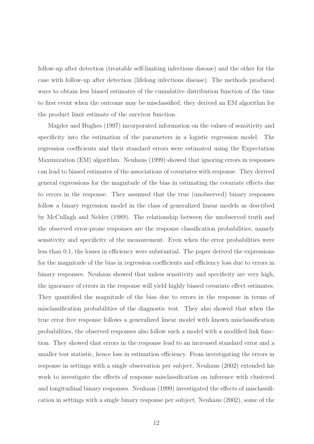follow-up after detection (treatable self-limiting infectious disease) and the other for the case with follow-up after detection (lifelong infectious disease). The methods produced ways to obtain less biased estimates of the cumulative distribution function of the time to first event when the outcome may be misclassified; they derived an EM algorithm for the product limit estimate of the survivor function.

Magder and Hughes (1997) incorporated information on the values of sensitivity and specificity into the estimation of the parameters in a logistic regression model. The regression coefficients and their standard errors were estimated using the Expectation Maximization (EM) algorithm. Neuhaus (1999) showed that ignoring errors in responses can lead to biased estimates of the associations of covariates with response. They derived general expressions for the magnitude of the bias in estimating the covariate effects due to errors in the response. They assumed that the true (unobserved) binary responses follow a binary regression model in the class of generalized linear models as described by McCullagh and Nelder (1989). The relationship between the unobserved truth and the observed error-prone responses are the response classification probabilities, namely sensitivity and specificity of the measurement. Even when the error probabilities were less than 0.1, the losses in efficiency were substantial. The paper derived the expressions for the magnitude of the bias in regression coefficients and efficiency loss due to errors in binary responses. Neuhaus showed that unless sensitivity and specificity are very high, the ignorance of errors in the response will yield highly biased covariate effect estimates. They quantified the magnitude of the bias due to errors in the response in terms of misclassification probabilities of the diagnostic test. They also showed that when the true error free response follows a generalized linear model with known misclassification probabilities, the observed responses also follow such a model with a modified link function. They showed that errors in the response lead to an increased standard error and a smaller test statistic, hence loss in estimation efficiency. From investigating the errors in response in settings with a single observation per subject, Neuhaus (2002) extended his work to investigate the effects of response misclassification on inference with clustered and longitudinal binary responses. Neuhaus (1999) investigated the effects of misclassification in settings with a single binary response per subject, Neuhaus (2002), some of the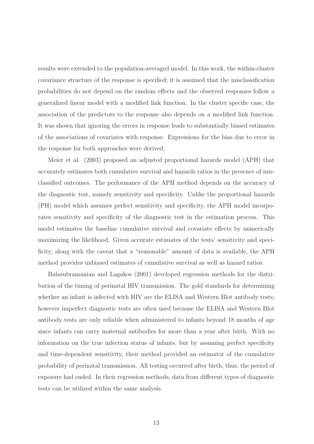results were extended to the population-averaged model. In this work, the within-cluster covariance structure of the response is specified; it is assumed that the misclassification probabilities do not depend on the random effects and the observed responses follow a generalized linear model with a modified link function. In the cluster specific case, the association of the predictors to the response also depends on a modified link function. It was shown that ignoring the errors in response leads to substantially biased estimates of the associations of covariates with response. Expressions for the bias due to error in the response for both approaches were derived.

Meier et al. (2003) proposed an adjusted proportional hazards model (APH) that accurately estimates both cumulative survival and hazards ratios in the presence of misclassified outcomes. The performance of the APH method depends on the accuracy of the diagnostic test, namely sensitivity and specificity. Unlike the proportional hazards (PH) model which assumes perfect sensitivity and specificity, the APH model incorporates sensitivity and specificity of the diagnostic test in the estimation process. This model estimates the baseline cumulative survival and covariate effects by numerically maximizing the likelihood. Given accurate estimates of the tests' sensitivity and specificity, along with the caveat that a "reasonable" amount of data is available, the APH method provides unbiased estimates of cumulative survival as well as hazard ratios.

Balasubramanian and Lagakos (2001) developed regression methods for the distribution of the timing of perinatal HIV transmission. The gold standards for determining whether an infant is infected with HIV are the ELISA and Western Blot antibody tests; however imperfect diagnostic tests are often used because the ELISA and Western Blot antibody tests are only reliable when administered to infants beyond 18 months of age since infants can carry maternal antibodies for more than a year after birth. With no information on the true infection status of infants, but by assuming perfect specificity and time-dependent sensitivity, their method provided an estimator of the cumulative probability of perinatal transmission. All testing occurred after birth, thus, the period of exposure had ended. In their regression methods, data from different types of diagnostic tests can be utilized within the same analysis.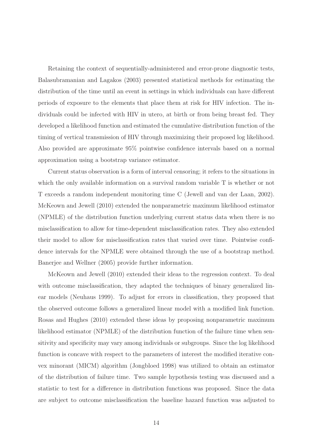Retaining the context of sequentially-administered and error-prone diagnostic tests, Balasubramanian and Lagakos (2003) presented statistical methods for estimating the distribution of the time until an event in settings in which individuals can have different periods of exposure to the elements that place them at risk for HIV infection. The individuals could be infected with HIV in utero, at birth or from being breast fed. They developed a likelihood function and estimated the cumulative distribution function of the timing of vertical transmission of HIV through maximizing their proposed log likelihood. Also provided are approximate 95% pointwise confidence intervals based on a normal approximation using a bootstrap variance estimator.

Current status observation is a form of interval censoring; it refers to the situations in which the only available information on a survival random variable T is whether or not T exceeds a random independent monitoring time C (Jewell and van der Laan, 2002). McKeown and Jewell (2010) extended the nonparametric maximum likelihood estimator (NPMLE) of the distribution function underlying current status data when there is no misclassification to allow for time-dependent misclassification rates. They also extended their model to allow for misclassification rates that varied over time. Pointwise confidence intervals for the NPMLE were obtained through the use of a bootstrap method. Banerjee and Wellner (2005) provide further information.

McKeown and Jewell (2010) extended their ideas to the regression context. To deal with outcome misclassification, they adapted the techniques of binary generalized linear models (Neuhaus 1999). To adjust for errors in classification, they proposed that the observed outcome follows a generalized linear model with a modified link function. Rosas and Hughes (2010) extended these ideas by proposing nonparametric maximum likelihood estimator (NPMLE) of the distribution function of the failure time when sensitivity and specificity may vary among individuals or subgroups. Since the log likelihood function is concave with respect to the parameters of interest the modified iterative convex minorant (MICM) algorithm (Jongbloed 1998) was utilized to obtain an estimator of the distribution of failure time. Two sample hypothesis testing was discussed and a statistic to test for a difference in distribution functions was proposed. Since the data are subject to outcome misclassification the baseline hazard function was adjusted to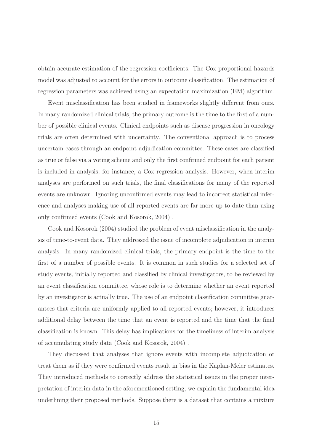obtain accurate estimation of the regression coefficients. The Cox proportional hazards model was adjusted to account for the errors in outcome classification. The estimation of regression parameters was achieved using an expectation maximization (EM) algorithm.

Event misclassification has been studied in frameworks slightly different from ours. In many randomized clinical trials, the primary outcome is the time to the first of a number of possible clinical events. Clinical endpoints such as disease progression in oncology trials are often determined with uncertainty. The conventional approach is to process uncertain cases through an endpoint adjudication committee. These cases are classified as true or false via a voting scheme and only the first confirmed endpoint for each patient is included in analysis, for instance, a Cox regression analysis. However, when interim analyses are performed on such trials, the final classifications for many of the reported events are unknown. Ignoring unconfirmed events may lead to incorrect statistical inference and analyses making use of all reported events are far more up-to-date than using only confirmed events (Cook and Kosorok, 2004) .

Cook and Kosorok (2004) studied the problem of event misclassification in the analysis of time-to-event data. They addressed the issue of incomplete adjudication in interim analysis. In many randomized clinical trials, the primary endpoint is the time to the first of a number of possible events. It is common in such studies for a selected set of study events, initially reported and classified by clinical investigators, to be reviewed by an event classification committee, whose role is to determine whether an event reported by an investigator is actually true. The use of an endpoint classification committee guarantees that criteria are uniformly applied to all reported events; however, it introduces additional delay between the time that an event is reported and the time that the final classification is known. This delay has implications for the timeliness of interim analysis of accumulating study data (Cook and Kosorok, 2004) .

They discussed that analyses that ignore events with incomplete adjudication or treat them as if they were confirmed events result in bias in the Kaplan-Meier estimates. They introduced methods to correctly address the statistical issues in the proper interpretation of interim data in the aforementioned setting; we explain the fundamental idea underlining their proposed methods. Suppose there is a dataset that contains a mixture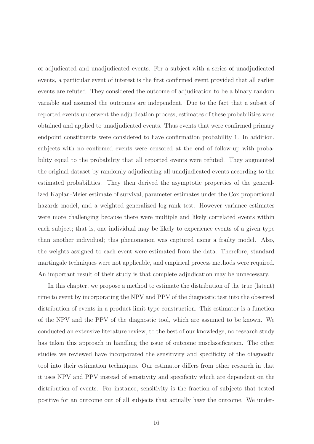of adjudicated and unadjudicated events. For a subject with a series of unadjudicated events, a particular event of interest is the first confirmed event provided that all earlier events are refuted. They considered the outcome of adjudication to be a binary random variable and assumed the outcomes are independent. Due to the fact that a subset of reported events underwent the adjudication process, estimates of these probabilities were obtained and applied to unadjudicated events. Thus events that were confirmed primary endpoint constituents were considered to have confirmation probability 1. In addition, subjects with no confirmed events were censored at the end of follow-up with probability equal to the probability that all reported events were refuted. They augmented the original dataset by randomly adjudicating all unadjudicated events according to the estimated probabilities. They then derived the asymptotic properties of the generalized Kaplan-Meier estimate of survival, parameter estimates under the Cox proportional hazards model, and a weighted generalized log-rank test. However variance estimates were more challenging because there were multiple and likely correlated events within each subject; that is, one individual may be likely to experience events of a given type than another individual; this phenomenon was captured using a frailty model. Also, the weights assigned to each event were estimated from the data. Therefore, standard martingale techniques were not applicable, and empirical process methods were required. An important result of their study is that complete adjudication may be unnecessary.

In this chapter, we propose a method to estimate the distribution of the true (latent) time to event by incorporating the NPV and PPV of the diagnostic test into the observed distribution of events in a product-limit-type construction. This estimator is a function of the NPV and the PPV of the diagnostic tool, which are assumed to be known. We conducted an extensive literature review, to the best of our knowledge, no research study has taken this approach in handling the issue of outcome misclassification. The other studies we reviewed have incorporated the sensitivity and specificity of the diagnostic tool into their estimation techniques. Our estimator differs from other research in that it uses NPV and PPV instead of sensitivity and specificity which are dependent on the distribution of events. For instance, sensitivity is the fraction of subjects that tested positive for an outcome out of all subjects that actually have the outcome. We under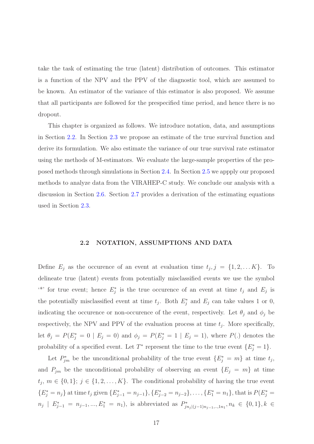take the task of estimating the true (latent) distribution of outcomes. This estimator is a function of the NPV and the PPV of the diagnostic tool, which are assumed to be known. An estimator of the variance of this estimator is also proposed. We assume that all participants are followed for the prespecified time period, and hence there is no dropout.

This chapter is organized as follows. We introduce notation, data, and assumptions in Section [2.2.](#page-27-0) In Section [2.3](#page-29-0) we propose an estimate of the true survival function and derive its formulation. We also estimate the variance of our true survival rate estimator using the methods of M-estimators. We evaluate the large-sample properties of the proposed methods through simulations in Section [2.4.](#page-34-0) In Section [2.5](#page-36-0) we appply our proposed methods to analyze data from the VIRAHEP-C study. We conclude our analysis with a discussion in Section [2.6.](#page-37-0) Section [2.7](#page-38-0) provides a derivation of the estimating equations used in Section [2.3.](#page-29-0)

#### 2.2 NOTATION, ASSUMPTIONS AND DATA

<span id="page-27-0"></span>Define  $E_j$  as the occurence of an event at evaluation time  $t_j, j = \{1, 2, \ldots K\}$ . To delineate true (latent) events from potentially misclassified events we use the symbol <sup>\*\*</sup> for true event; hence  $E_j^*$  is the true occurence of an event at time  $t_j$  and  $E_j$  is the potentially misclassified event at time  $t_j$ . Both  $E_j^*$  and  $E_j$  can take values 1 or 0, indicating the occurence or non-occurence of the event, respectively. Let  $\theta_j$  and  $\phi_j$  be respectively, the NPV and PPV of the evaluation process at time  $t_j$ . More specifically, let  $\theta_j = P(E_j^* = 0 | E_j = 0)$  and  $\phi_j = P(E_j^* = 1 | E_j = 1)$ , where  $P(.)$  denotes the probability of a specified event. Let  $T^*$  represent the time to the true event  $\{E_j^* = 1\}$ .

Let  $P_{jm}^*$  be the unconditional probability of the true event  $\{E_j^* = m\}$  at time  $t_j$ , and  $P_{jm}$  be the unconditional probability of observing an event  $\{E_j = m\}$  at time  $t_j, m \in \{0, 1\}; j \in \{1, 2, ..., K\}.$  The conditional probability of having the true event  ${E_j^* = n_j}$  at time  $t_j$  given  ${E_{j-1}^* = n_{j-1}}$ ,  ${E_{j-2}^* = n_{j-2}}$ , ...,  ${E_1^* = n_1}$ , that is  $P(E_j^* = n_j)$  $n_j \mid E^*_{j-1} = n_{j-1},...,E^*_{1} = n_1$ , is abbreviated as  $P^*_{jn_j|(j-1)n_{j-1},...,1n_1},n_k \in \{0,1\}, k \in$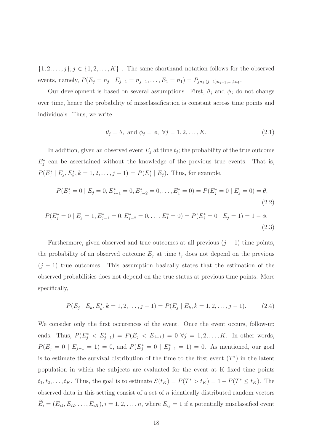$\{1, 2, \ldots, j\}; j \in \{1, 2, \ldots, K\}$ . The same shorthand notation follows for the observed events, namely,  $P(E_j = n_j | E_{j-1} = n_{j-1}, \dots, E_1 = n_1) = P_{jn_j|(j-1)n_{j-1}, \dots, n_1}$ .

Our development is based on several assumptions. First,  $\theta_j$  and  $\phi_j$  do not change over time, hence the probability of missclassification is constant across time points and individuals. Thus, we write

<span id="page-28-0"></span>
$$
\theta_j = \theta, \text{ and } \phi_j = \phi, \ \forall j = 1, 2, \dots, K. \tag{2.1}
$$

In addition, given an observed event  $E_j$  at time  $t_j$ ; the probability of the true outcome  $E_j^*$  can be ascertained without the knowledge of the previous true events. That is,  $P(E_j^* | E_j, E_k^*, k = 1, 2, \dots, j - 1) = P(E_j^* | E_j)$ . Thus, for example,

$$
P(E_j^* = 0 \mid E_j = 0, E_{j-1}^* = 0, E_{j-2}^* = 0, \dots, E_1^* = 0) = P(E_j^* = 0 \mid E_j = 0) = \theta,
$$
\n(2.2)

$$
P(E_j^* = 0 \mid E_j = 1, E_{j-1}^* = 0, E_{j-2}^* = 0, \dots, E_1^* = 0) = P(E_j^* = 0 \mid E_j = 1) = 1 - \phi.
$$
\n(2.3)

Furthermore, given observed and true outcomes at all previous  $(j - 1)$  time points, the probability of an observed outcome  $E_j$  at time  $t_j$  does not depend on the previous  $(j - 1)$  true outcomes. This assumption basically states that the estimation of the observed probabilities does not depend on the true status at previous time points. More specifically,

<span id="page-28-1"></span>
$$
P(E_j \mid E_k, E_k^*, k = 1, 2, \dots, j - 1) = P(E_j \mid E_k, k = 1, 2, \dots, j - 1). \tag{2.4}
$$

We consider only the first occurences of the event. Once the event occurs, follow-up ends. Thus,  $P(E_j^* < E_{j-1}^*) = P(E_j < E_{j-1}) = 0 \ \forall j = 1, 2, \ldots, K$ . In other words,  $P(E_j = 0 | E_{j-1} = 1) = 0$ , and  $P(E_j^* = 0 | E_{j-1}^* = 1) = 0$ . As mentioned, our goal is to estimate the survival distribution of the time to the first event  $(T^*)$  in the latent population in which the subjects are evaluated for the event at K fixed time points  $t_1, t_2, \ldots, t_K$ . Thus, the goal is to estimate  $S(t_K) = P(T^* > t_K) = 1 - P(T^* \leq t_K)$ . The observed data in this setting consist of a set of n identically distributed random vectors  $\widetilde{E}_i = (E_{i1}, E_{i2}, \dots, E_{iK}), i = 1, 2, \dots, n$ , where  $E_{ij} = 1$  if a potentially misclassified event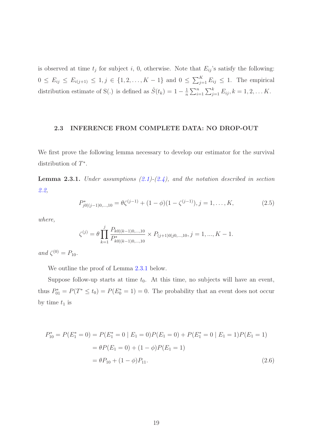is observed at time  $t_j$  for subject i, 0, otherwise. Note that  $E_{ij}$ 's satisfy the following:  $0 \le E_{ij} \le E_{i(j+1)} \le 1, j \in \{1, 2, ..., K-1\}$  and  $0 \le \sum_{j=1}^{K} E_{ij} \le 1$ . The empirical distribution estimate of S(.) is defined as  $\hat{S}(t_k) = 1 - \frac{1}{n}$  $\frac{1}{n}\sum_{i=1}^n\sum_{j=1}^k E_{ij}, k=1,2,\ldots K.$ 

#### <span id="page-29-0"></span>2.3 INFERENCE FROM COMPLETE DATA: NO DROP-OUT

<span id="page-29-1"></span>We first prove the following lemma necessary to develop our estimator for the survival distribution of T ∗ .

Lemma 2.3.1. *Under assumptions [\(2.1\)](#page-28-0)-[\(2.4\)](#page-28-1), and the notation described in section [2.2,](#page-27-0)*

$$
P_{j0|(j-1)0,\dots,10}^* = \theta \zeta^{(j-1)} + (1-\phi)(1-\zeta^{(j-1)}), j = 1,\dots, K,
$$
\n(2.5)

*where,*

$$
\zeta^{(j)} = \theta \prod_{k=1}^{j} \frac{P_{k0|(k-1)0,\dots,10}}{P_{k0|(k-1)0,\dots,10}^*} \times P_{(j+1)0|j0,\dots,10}, j = 1, ..., K - 1.
$$

 $and \zeta^{(0)} = P_{10}.$ 

We outline the proof of Lemma [2.3.1](#page-29-1) below.

Suppose follow-up starts at time  $t_0$ . At this time, no subjects will have an event, thus  $P_{01}^* = P(T^* \le t_0) = P(E_0^* = 1) = 0$ . The probability that an event does not occur by time  $t_1$  is

<span id="page-29-2"></span>
$$
P_{10}^* = P(E_1^* = 0) = P(E_1^* = 0 | E_1 = 0)P(E_1 = 0) + P(E_1^* = 0 | E_1 = 1)P(E_1 = 1)
$$
  
=  $\theta P(E_1 = 0) + (1 - \phi)P(E_1 = 1)$   
=  $\theta P_{10} + (1 - \phi)P_{11}$ . (2.6)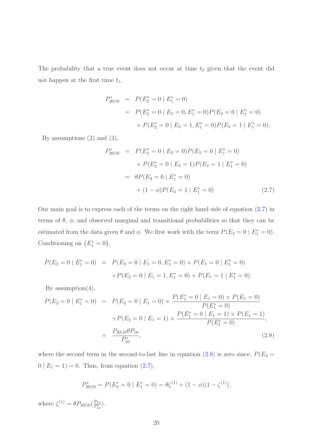The probability that a true event does not occur at time  $t_2$  given that the event did not happen at the first time  $t_1$ ,

<span id="page-30-0"></span>
$$
P_{20|10}^* = P(E_2^* = 0 | E_1^* = 0)
$$
  
=  $P(E_2^* = 0 | E_2 = 0, E_1^* = 0)P(E_2 = 0 | E_1^* = 0)$   
+  $P(E_2^* = 0 | E_2 = 1, E_1^* = 0)P(E_2 = 1 | E_1^* = 0).$ 

By assumptions  $(2)$  and  $(3)$ ,

$$
P_{20|10}^* = P(E_2^* = 0 | E_2 = 0)P(E_2 = 0 | E_1^* = 0)
$$
  
+ 
$$
P(E_2^* = 0 | E_2 = 1)P(E_2 = 1 | E_1^* = 0)
$$
  
= 
$$
\theta P(E_2 = 0 | E_1^* = 0)
$$
  
+ 
$$
(1 - \phi)P(E_2 = 1 | E_1^* = 0)
$$
 (2.7)

Our main goal is to express each of the terms on the right hand side of equation [\(2.7\)](#page-30-0) in terms of  $\theta$ ,  $\phi$ , and observed marginal and transitional probabilities so that they can be estimated from the data given  $\theta$  and  $\phi$ . We first work with the term  $P(E_2 = 0 \mid E_1^* = 0)$ . Conditioning on  $\{E_1^* = 0\},\$ 

<span id="page-30-1"></span>
$$
P(E_2 = 0 | E_1^* = 0) = P(E_2 = 0 | E_1 = 0, E_1^* = 0) \times P(E_1 = 0 | E_1^* = 0)
$$
  
+
$$
P(E_2 = 0 | E_1 = 1, E_1^* = 0) \times P(E_1 = 1 | E_1^* = 0).
$$

By assumption $(4)$ ,

$$
P(E_2 = 0 | E_1^* = 0) = P(E_2 = 0 | E_1 = 0) \times \frac{P(E_1^* = 0 | E_1 = 0) \times P(E_1 = 0)}{P(E_1^* = 0)}
$$
  
+
$$
P(E_2 = 0 | E_1 = 1) \times \frac{P(E_1^* = 0 | E_1 = 1) \times P(E_1 = 1)}{P(E_1^* = 0)},
$$
  
= 
$$
\frac{P_{20|10}\theta P_{10}}{P_{10}^*},
$$
 (2.8)

where the second term in the second-to-last line in equation [\(2.8\)](#page-30-1) is zero since,  $P(E_2 =$  $0 | E_1 = 1$  = 0. Thus, from equation [\(2.7\)](#page-30-0),

$$
P_{20|10}^* = P(E_2^* = 0 \mid E_1^* = 0) = \theta \zeta^{(1)} + (1 - \phi)(1 - \zeta^{(1)}),
$$

where  $\zeta^{(1)} = \theta P_{20|10} (\frac{P_{10}}{P_{10}^*})$  $\frac{P_{10}}{P_{10}^*}$ .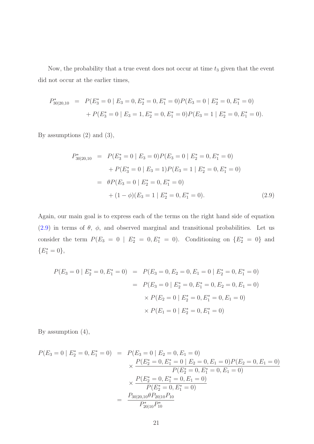Now, the probability that a true event does not occur at time  $t_3$  given that the event did not occur at the earlier times,

$$
P_{30|20,10}^* = P(E_3^* = 0 \mid E_3 = 0, E_2^* = 0, E_1^* = 0)P(E_3 = 0 \mid E_2^* = 0, E_1^* = 0)
$$
  
+ 
$$
P(E_3^* = 0 \mid E_3 = 1, E_2^* = 0, E_1^* = 0)P(E_3 = 1 \mid E_2^* = 0, E_1^* = 0).
$$

By assumptions (2) and (3),

<span id="page-31-0"></span>
$$
P_{30|20,10}^* = P(E_3^* = 0 | E_3 = 0)P(E_3 = 0 | E_2^* = 0, E_1^* = 0)
$$
  
+ 
$$
P(E_3^* = 0 | E_3 = 1)P(E_3 = 1 | E_2^* = 0, E_1^* = 0)
$$
  
= 
$$
\theta P(E_3 = 0 | E_2^* = 0, E_1^* = 0)
$$
  
+ 
$$
(1 - \phi)(E_3 = 1 | E_2^* = 0, E_1^* = 0).
$$
 (2.9)

Again, our main goal is to express each of the terms on the right hand side of equation [\(2.9\)](#page-31-0) in terms of  $\theta$ ,  $\phi$ , and observed marginal and transitional probabilities. Let us consider the term  $P(E_3 = 0 \mid E_2^* = 0, E_1^* = 0)$ . Conditioning on  $\{E_2^* = 0\}$  and  ${E_1^* = 0},$ 

$$
P(E_3 = 0 | E_2^* = 0, E_1^* = 0) = P(E_3 = 0, E_2 = 0, E_1 = 0 | E_2^* = 0, E_1^* = 0)
$$
  
=  $P(E_3 = 0 | E_2^* = 0, E_1^* = 0, E_2 = 0, E_1 = 0)$   
 $\times P(E_2 = 0 | E_2^* = 0, E_1^* = 0, E_1 = 0)$   
 $\times P(E_1 = 0 | E_2^* = 0, E_1^* = 0)$ 

By assumption (4),

$$
P(E_3 = 0 | E_2^* = 0, E_1^* = 0) = P(E_3 = 0 | E_2 = 0, E_1 = 0)
$$
  
\n
$$
\times \frac{P(E_2^* = 0, E_1^* = 0 | E_2 = 0, E_1 = 0) P(E_2 = 0, E_1 = 0)}{P(E_2^* = 0, E_1^* = 0, E_1 = 0)}
$$
  
\n
$$
\times \frac{P(E_2^* = 0, E_1^* = 0, E_1 = 0)}{P(E_2^* = 0, E_1^* = 0)}
$$
  
\n
$$
= \frac{P_{30|20,10} \theta P_{20|10} P_{10}}{P_{20|10}^* P_{10}^*}
$$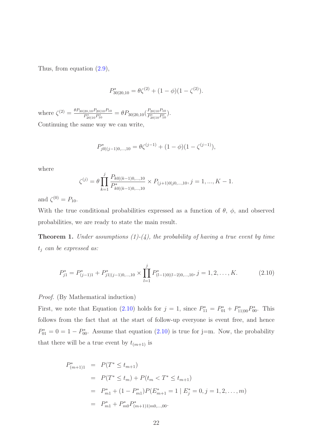Thus, from equation [\(2.9\)](#page-31-0),

$$
P_{30|20,10}^* = \theta \zeta^{(2)} + (1 - \phi)(1 - \zeta^{(2)}).
$$

where  $\zeta^{(2)} = \frac{\theta P_{30|20,10} P_{20|10} P_{10}}{P^* P^*}$  $\frac{p_{20|10}P_{20|10}P_{10}}{P_{20|10}^*P_{10}^*}=\theta P_{30|20,10}(\frac{P_{20|10}P_{10}}{P_{20|10}^*P_{10}^*})$  $\frac{F_{20|10}F_{10}^{*}}{P_{20|10}^{*}P_{10}^{*}}$ . Continuing the same way we can write,

$$
P_{j0|(j-1)0,\dots,10}^* = \theta \zeta^{(j-1)} + (1-\phi)(1-\zeta^{(j-1)}),
$$

where

$$
\zeta^{(j)} = \theta \prod_{k=1}^{j} \frac{P_{k0|(k-1)0,\dots,10}}{P_{k0|(k-1)0,\dots,10}^*} \times P_{(j+1)0|j0,\dots,10}, j = 1, ..., K - 1.
$$

and  $\zeta^{(0)} = P_{10}$ .

With the true conditional probabilities expressed as a function of  $\theta$ ,  $\phi$ , and observed probabilities, we are ready to state the main result.

**Theorem 1.** *Under assumptions (1)-(4), the probability of having a true event by time* t<sup>j</sup> *can be expressed as:*

<span id="page-32-0"></span>
$$
P_{j1}^* = P_{(j-1)1}^* + P_{j1|(j-1)0,\dots,10}^* \times \prod_{l=1}^j P_{(l-1)0|(l-2)0,\dots,10}^*, j = 1, 2, \dots, K. \tag{2.10}
$$

*Proof.* (By Mathematical induction)

First, we note that Equation [\(2.10\)](#page-32-0) holds for  $j = 1$ , since  $P_{11}^* = P_{01}^* + P_{11|00}^* P_{00}^*$ . This follows from the fact that at the start of follow-up everyone is event free, and hence  $P_{01}^* = 0 = 1 - P_{00}^*$ . Assume that equation [\(2.10\)](#page-32-0) is true for j=m. Now, the probability that there will be a true event by  $t_{(m+1)}$  is

$$
P_{(m+1)1}^* = P(T^* \le t_{m+1})
$$
  
=  $P(T^* \le t_m) + P(t_m < T^* \le t_{m+1})$   
=  $P_{m1}^* + (1 - P_{m1}^*) P(E_{m+1}^* = 1 | E_j^* = 0, j = 1, 2, \dots, m)$   
=  $P_{m1}^* + P_{m0}^* P_{(m+1)1|m0,\dots,00}^*.$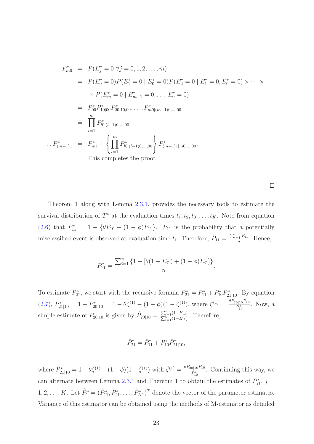$$
P_{m0}^{*} = P(E_{j}^{*} = 0 \ \forall j = 0, 1, 2, ..., m)
$$
  
\n
$$
= P(E_{0}^{*} = 0)P(E_{1}^{*} = 0 \mid E_{0}^{*} = 0)P(E_{2}^{*} = 0 \mid E_{1}^{*} = 0, E_{0}^{*} = 0) \times \cdots \times
$$
  
\n
$$
\times P(E_{m}^{*} = 0 \mid E_{m-1}^{*} = 0, ..., E_{0}^{*} = 0)
$$
  
\n
$$
= P_{00}^{*} P_{10|00}^{*} P_{20|10,00}^{*} \cdots P_{m0|(m-1)0,...,00}^{*}
$$
  
\n
$$
= \prod_{l=1}^{m} P_{l0|(l-1)0,...,00}^{*}
$$
  
\n
$$
\therefore P_{(m+1)1}^{*} = P_{m1}^{*} + \left\{ \prod_{l=1}^{m} P_{l0|(l-1)0,...,00}^{*} \right\} P_{(m+1)1|m0,...,00}^{*}.
$$
  
\nThis completes the proof.

 $\Box$ 

Theorem 1 along with Lemma [2.3.1,](#page-29-1) provides the necessary tools to estimate the survival distribution of  $T^*$  at the evaluation times  $t_1, t_2, t_3, \ldots, t_K$ . Note from equation [\(2.6\)](#page-29-2) that  $P_{11}^* = 1 - {\theta P_{10} + (1 - \phi)P_{11}}$ .  $P_{11}$  is the probability that a potentially misclassified event is observed at evaluation time  $t_1$ . Therefore,  $\hat{P}_{11} = \frac{\sum_{i=1}^{n} E_{i1}}{n}$  $\frac{1}{n}$ . Hence,

$$
\hat{P}_{11}^* = \frac{\sum_{i=1}^n \{1 - [\theta(1 - E_{i1}) + (1 - \phi)E_{i1}]\}}{n}.
$$

To estimate  $P_{21}^*$ , we start with the recursive formula  $P_{21}^* = P_{11}^* + P_{10}^* P_{21|10}^*$ . By equation [\(2.7\)](#page-30-0),  $P_{21|10}^* = 1 - P_{20|10}^* = 1 - \theta \zeta^{(1)} - (1 - \phi)(1 - \zeta^{(1)})$ , where  $\zeta^{(1)} = \frac{\theta P_{20|10} P_{10}}{P_{10}^*}$  $\frac{0|10^I 10}{P_{10}^*}$ . Now, a simple estimate of  $P_{20|10}$  is given by  $\hat{P}_{20|10} = \frac{\sum_{i=1}^{n} \hat{P}_{20i}}{\sum_{i=1}^{n} \hat{P}_{20i}}$  $\frac{\sum_{i=1}^{n}(1-E_{i2})}{n}(1-E_{i1})$ . Therefore,

$$
\hat{P}_{21}^* = \hat{P}_{11}^* + \hat{P}_{10}^* \hat{P}_{21|10}^*,
$$

where  $\hat{P}_{21|10}^{*} = 1 - \theta \hat{\zeta}^{(1)} - (1 - \phi)(1 - \hat{\zeta}^{(1)})$  with  $\hat{\zeta}^{(1)} = \frac{\theta \hat{P}_{20|10} \hat{P}_{10}}{\hat{P}_{10}^{*}}$  $\frac{\partial |10^{I}10}{\hat{P}_{10}^*}$ . Continuing this way, we can alternate between Lemma [2.3.1](#page-29-1) and Thereom 1 to obtain the estimates of  $P_{j1}^*$ ,  $j =$  $1, 2, \ldots, K$ . Let  $\hat{P}_1^* = (\hat{P}_{11}^*, \hat{P}_{21}^*, \ldots, \hat{P}_{K1}^*)^T$  denote the vector of the parameter estimates. Variance of this estimator can be obtained using the methods of M-estimator as detailed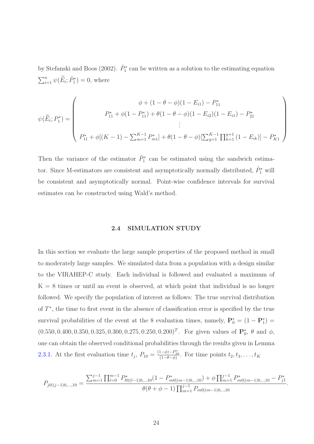by Stefanski and Boos (2002).  $\hat{P}_1^*$  can be written as a solution to the estimating equation  $\sum_{i=1}^n \psi(\widetilde{E}_i; \hat{P}_1^*) = 0$ , where

$$
\psi(\widetilde{E}_i; P_1^*) = \begin{pmatrix} \phi + (1 - \theta - \phi)(1 - E_{i1}) - P_{11}^* \\ P_{11}^* + \phi(1 - P_{11}^*) + \theta(1 - \theta - \phi)(1 - E_{i2})(1 - E_{i1}) - P_{21}^* \\ \vdots \\ P_{11}^* + \phi[(K - 1) - \sum_{m=1}^{K-1} P_{m1}^*] + \theta(1 - \theta - \phi)[\sum_{g=1}^{K-1} \prod_{k=1}^{g+1} (1 - E_{ik})] - P_{K1}^* \end{pmatrix}
$$

Then the variance of the estimator  $\hat{P}_1^*$  can be estimated using the sandwich estimator. Since M-estimators are consistent and asymptotically normally distributed,  $\hat{P}_1^*$  will be consistent and asymptotically normal. Point-wise confidence intervals for survival estimates can be constructed using Wald's method.

#### 2.4 SIMULATION STUDY

<span id="page-34-0"></span>In this section we evaluate the large sample properties of the proposed method in small to moderately large samples. We simulated data from a population with a design similar to the VIRAHEP-C study. Each individual is followed and evaluated a maximum of  $K = 8$  times or until an event is observed, at which point that individual is no longer followed. We specify the population of interest as follows: The true survival distribution of  $T^*$ , the time to first event in the absence of classification error is specified by the true survival probabilities of the event at the 8 evaluation times, namely,  $\mathbf{P}_0^* = (1 - \mathbf{P}_1^*)$  $(0.550, 0.400, 0.350, 0.325, 0.300, 0.275, 0.250, 0.200)^T$ . For given values of  $\mathbf{P}_0^*$ ,  $\theta$  and  $\phi$ , one can obtain the observed conditional probabilities through the results given in Lemma [2.3.1.](#page-29-1) At the first evaluation time  $t_j$ ,  $P_{10} = \frac{(1-\phi)-P_{10}^*}{(1-\theta-\phi)}$ . For time points  $t_2, t_3, \ldots, t_K$ 

$$
P_{j0|(j-1)0,\dots,10} = \frac{\sum_{m=1}^{j-1} \prod_{l=0}^{m-1} P_{l0|(l-1)0,\dots,10}^{*}(1 - P_{m0|(m-1)0,\dots,10}^{*}) + \phi \prod_{m=1}^{j-1} P_{m0|(m-1)0,\dots,10}^{*} - P_{j1}^{*}}{\theta(\theta + \phi - 1) \prod_{m=1}^{j-1} P_{m0|(m-1)0,\dots,10}}
$$

.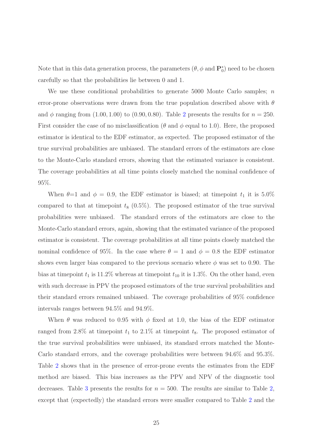Note that in this data generation process, the parameters  $(\theta, \phi \text{ and } \mathbf{P}_0^*)$  need to be chosen carefully so that the probabilities lie between 0 and 1.

We use these conditional probabilities to generate 5000 Monte Carlo samples;  $n$ error-prone observations were drawn from the true population described above with  $\theta$ and  $\phi$  ranging from (1.00, 1.00) to (0.90, 0.80). Table [2](#page-40-0) presents the results for  $n = 250$ . First consider the case of no misclassification ( $\theta$  and  $\phi$  equal to 1.0). Here, the proposed estimator is identical to the EDF estimator, as expected. The proposed estimator of the true survival probabilities are unbiased. The standard errors of the estimators are close to the Monte-Carlo standard errors, showing that the estimated variance is consistent. The coverage probabilities at all time points closely matched the nominal confidence of 95%.

When  $\theta=1$  and  $\phi=0.9$ , the EDF estimator is biased; at timepoint  $t_1$  it is 5.0% compared to that at timepoint  $t_8$  (0.5%). The proposed estimator of the true survival probabilities were unbiased. The standard errors of the estimators are close to the Monte-Carlo standard errors, again, showing that the estimated variance of the proposed estimator is consistent. The coverage probabilities at all time points closely matched the nominal confidence of 95%. In the case where  $\theta = 1$  and  $\phi = 0.8$  the EDF estimator shows even larger bias compared to the previous scenario where  $\phi$  was set to 0.90. The bias at timepoint  $t_1$  is 11.2% whereas at timepoint  $t_{10}$  it is 1.3%. On the other hand, even with such decrease in PPV the proposed estimators of the true survival probabilities and their standard errors remained unbiased. The coverage probabilities of 95% confidence intervals ranges between 94.5% and 94.9%.

When  $\theta$  was reduced to 0.95 with  $\phi$  fixed at 1.0, the bias of the EDF estimator ranged from 2.8% at timepoint  $t_1$  to 2.1% at timepoint  $t_8$ . The proposed estimator of the true survival probabilities were unbiased, its standard errors matched the Monte-Carlo standard errors, and the coverage probabilities were between 94.6% and 95.3%. Table [2](#page-40-0) shows that in the presence of error-prone events the estimates from the EDF method are biased. This bias increases as the PPV and NPV of the diagnostic tool decreases. Table [3](#page-41-0) presents the results for  $n = 500$ . The results are similar to Table [2,](#page-40-0) except that (expectedly) the standard errors were smaller compared to Table [2](#page-40-0) and the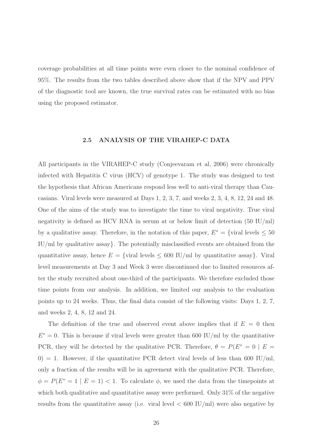coverage probabilities at all time points were even closer to the nominal confidence of 95%. The results from the two tables described above show that if the NPV and PPV of the diagnostic tool are known, the true survival rates can be estimated with no bias using the proposed estimator.

#### 2.5 ANALYSIS OF THE VIRAHEP-C DATA

<span id="page-36-0"></span>All participants in the VIRAHEP-C study (Conjeevaram et al, 2006) were chronically infected with Hepatitis C virus (HCV) of genotype 1. The study was designed to test the hypothesis that African Americans respond less well to anti-viral therapy than Caucasians. Viral levels were measured at Days 1, 2, 3, 7, and weeks 2, 3, 4, 8, 12, 24 and 48. One of the aims of the study was to investigate the time to viral negativity. True viral negativity is defined as HCV RNA in serum at or below limit of detection (50 IU/ml) by a qualitative assay. Therefore, in the notation of this paper,  $E^* = \{ \text{viral levels} \leq 50$ IU/ml by qualitative assay}. The potentially misclassified events are obtained from the quantitative assay, hence  $E = \{$ viral levels  $\leq 600$  IU/ml by quantitative assay $\}$ . Viral level measurements at Day 3 and Week 3 were discontinued due to limited resources after the study recruited about one-third of the participants. We therefore excluded those time points from our analysis. In addition, we limited our analysis to the evaluation points up to 24 weeks. Thus, the final data consist of the following visits: Days 1, 2, 7, and weeks 2, 4, 8, 12 and 24.

The definition of the true and observed event above implies that if  $E = 0$  then  $E^* = 0$ . This is because if viral levels were greater than 600 IU/ml by the quantitative PCR, they will be detected by the qualitative PCR. Therefore,  $\theta = P(E^* = 0 \mid E =$  $0$ ) = 1. However, if the quantitative PCR detect viral levels of less than 600 IU/ml, only a fraction of the results will be in agreement with the qualitative PCR. Therefore,  $\phi = P(E^* = 1 | E = 1) < 1$ . To calculate  $\phi$ , we used the data from the timepoints at which both qualitative and quantitative assay were performed. Only 31% of the negative results from the quantitative assay (i.e. viral level  $< 600$  IU/ml) were also negative by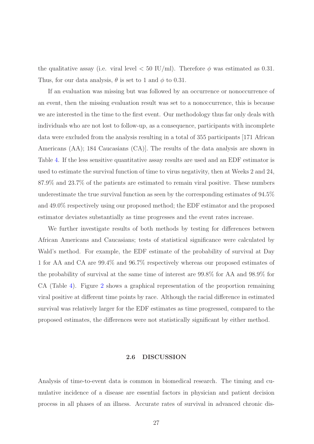the qualitative assay (i.e. viral level  $< 50 \text{ IU/ml}$ ). Therefore  $\phi$  was estimated as 0.31. Thus, for our data analysis,  $\theta$  is set to 1 and  $\phi$  to 0.31.

If an evaluation was missing but was followed by an occurrence or nonoccurrence of an event, then the missing evaluation result was set to a nonoccurrence, this is because we are interested in the time to the first event. Our methodology thus far only deals with individuals who are not lost to follow-up, as a consequence, participants with incomplete data were excluded from the analysis resulting in a total of 355 participants [171 African Americans (AA); 184 Caucasians (CA)]. The results of the data analysis are shown in Table [4.](#page-42-0) If the less sensitive quantitative assay results are used and an EDF estimator is used to estimate the survival function of time to virus negativity, then at Weeks 2 and 24, 87.9% and 23.7% of the patients are estimated to remain viral positive. These numbers underestimate the true survival function as seen by the corresponding estimates of 94.5% and 49.0% respectively using our proposed method; the EDF estimator and the proposed estimator deviates substantially as time progresses and the event rates increase.

We further investigate results of both methods by testing for differences between African Americans and Caucasians; tests of statistical significance were calculated by Wald's method. For example, the EDF estimate of the probability of survival at Day 1 for AA and CA are 99.4% and 96.7% respectively whereas our proposed estimates of the probability of survival at the same time of interest are 99.8% for AA and 98.9% for CA (Table [4\)](#page-42-0). Figure [2](#page-44-0) shows a graphical representation of the proportion remaining viral positive at different time points by race. Although the racial difference in estimated survival was relatively larger for the EDF estimates as time progressed, compared to the proposed estimates, the differences were not statistically significant by either method.

#### 2.6 DISCUSSION

<span id="page-37-0"></span>Analysis of time-to-event data is common in biomedical research. The timing and cumulative incidence of a disease are essential factors in physician and patient decision process in all phases of an illness. Accurate rates of survival in advanced chronic dis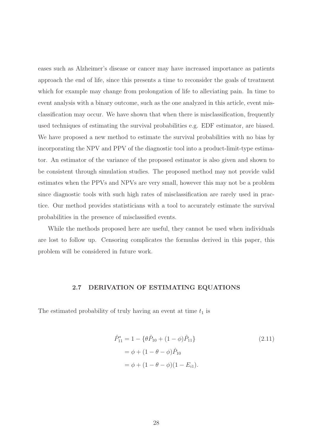eases such as Alzheimer's disease or cancer may have increased importance as patients approach the end of life, since this presents a time to reconsider the goals of treatment which for example may change from prolongation of life to alleviating pain. In time to event analysis with a binary outcome, such as the one analyzed in this article, event misclassification may occur. We have shown that when there is misclassification, frequently used techniques of estimating the survival probabilities e.g. EDF estimator, are biased. We have proposed a new method to estimate the survival probabilities with no bias by incorporating the NPV and PPV of the diagnostic tool into a product-limit-type estimator. An estimator of the variance of the proposed estimator is also given and shown to be consistent through simulation studies. The proposed method may not provide valid estimates when the PPVs and NPVs are very small, however this may not be a problem since diagnostic tools with such high rates of misclassification are rarely used in practice. Our method provides statisticians with a tool to accurately estimate the survival probabilities in the presence of misclassified events.

While the methods proposed here are useful, they cannot be used when individuals are lost to follow up. Censoring complicates the formulas derived in this paper, this problem will be considered in future work.

#### <span id="page-38-0"></span>2.7 DERIVATION OF ESTIMATING EQUATIONS

The estimated probability of truly having an event at time  $t_1$  is

$$
\hat{P}_{11}^{*} = 1 - \{\theta \hat{P}_{10} + (1 - \phi)\hat{P}_{11}\}\
$$
\n
$$
= \phi + (1 - \theta - \phi)\hat{P}_{10}
$$
\n
$$
= \phi + (1 - \theta - \phi)(1 - E_{i1}).
$$
\n(2.11)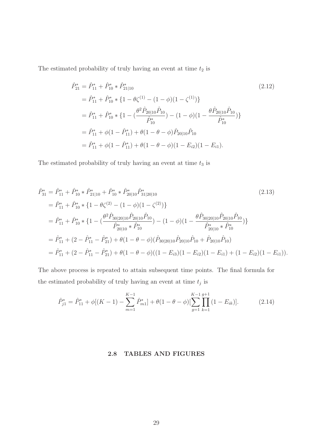The estimated probability of truly having an event at time  $t_2$  is

$$
\begin{split}\n\hat{P}_{21}^{*} &= \hat{P}_{11}^{*} + \hat{P}_{10}^{*} * \hat{P}_{21|10}^{*} \\
&= \hat{P}_{11}^{*} + \hat{P}_{10}^{*} * \{1 - \theta \zeta^{(1)} - (1 - \phi)(1 - \zeta^{(1)})\} \\
&= \hat{P}_{11}^{*} + \hat{P}_{10}^{*} * \{1 - (\frac{\theta^{2} \hat{P}_{20|10} \hat{P}_{10}}{\hat{P}_{10}^{*}}) - (1 - \phi)(1 - \frac{\theta \hat{P}_{20|10} \hat{P}_{10}}{\hat{P}_{10}^{*}})\} \\
&= \hat{P}_{11}^{*} + \phi(1 - \hat{P}_{11}^{*}) + \theta(1 - \theta - \phi)\hat{P}_{20|10}\hat{P}_{10} \\
&= \hat{P}_{11}^{*} + \phi(1 - \hat{P}_{11}^{*}) + \theta(1 - \theta - \phi)(1 - E_{i2})(1 - E_{i1}).\n\end{split}
$$
\n(2.12)

The estimated probability of truly having an event at time  $t_3$  is

$$
\hat{P}_{31}^{*} = \hat{P}_{11}^{*} + \hat{P}_{10}^{*} * \hat{P}_{21|10}^{*} + \hat{P}_{10}^{*} * \hat{P}_{20|10}^{*} \hat{P}_{31|20|10}^{*} \tag{2.13}
$$
\n
$$
= \hat{P}_{11}^{*} + \hat{P}_{10}^{*} * \{1 - \theta \zeta^{(2)} - (1 - \phi)(1 - \zeta^{(2)})\}
$$
\n
$$
= \hat{P}_{11}^{*} + \hat{P}_{10}^{*} * \{1 - (\frac{\theta^{2} \hat{P}_{30|20|10} \hat{P}_{20|10} \hat{P}_{10}}{\hat{P}_{20|10}^{*} * \hat{P}_{10}^{*}}) - (1 - \phi)(1 - \frac{\theta \hat{P}_{30|20|10} \hat{P}_{20|10} \hat{P}_{10}}{\hat{P}_{20|10}^{*} * \hat{P}_{10}^{*}})\}
$$
\n
$$
= \hat{P}_{11}^{*} + (2 - \hat{P}_{11}^{*} - \hat{P}_{21}^{*}) + \theta(1 - \theta - \phi)(\hat{P}_{30|20|10} \hat{P}_{20|10} \hat{P}_{10} + \hat{P}_{20|10} \hat{P}_{10})
$$
\n
$$
= \hat{P}_{11}^{*} + (2 - \hat{P}_{11}^{*} - \hat{P}_{21}^{*}) + \theta(1 - \theta - \phi)((1 - E_{i3})(1 - E_{i2})(1 - E_{i1}) + (1 - E_{i2})(1 - E_{i1})).
$$
\n(2.13)

The above process is repeated to attain subsequent time points. The final formula for the estimated probability of truly having an event at time  $t_j$  is

<span id="page-39-0"></span>
$$
\hat{P}_{j1}^* = \hat{P}_{11}^* + \phi[(K-1) - \sum_{m=1}^{K-1} \hat{P}_{m1}^*] + \theta(1 - \theta - \phi)[\sum_{g=1}^{K-1} \prod_{k=1}^{g+1} (1 - E_{ik})].
$$
\n(2.14)

#### 2.8 TABLES AND FIGURES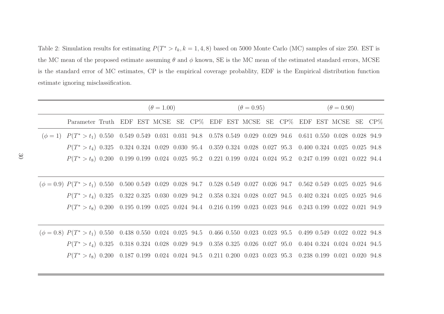Table 2: Simulation results for estimating  $P(T^* > t_k, k = 1, 4, 8)$  based on 5000 Monte Carlo (MC) samples of size 250. EST is the MC mean of the proposed estimate assuming  $\theta$  and  $\phi$  known, SE is the MC mean of the estimated standard errors, MCSE is the standard error of MC estimates, CP is the empirical coverage probablity, EDF is the Empirical distribution functionestimate ignoring misclassification.

<span id="page-40-0"></span>

|                                                                                                                                                                                           | $(\theta = 1.00)$ |  |  |  |  | $(\theta = 0.95)$ |  | $(\theta = 0.90)$ |  |  |  |  |  |
|-------------------------------------------------------------------------------------------------------------------------------------------------------------------------------------------|-------------------|--|--|--|--|-------------------|--|-------------------|--|--|--|--|--|
| Parameter Truth EDF EST MCSE SE CP% EDF EST MCSE SE CP% EDF EST MCSE SE CP%                                                                                                               |                   |  |  |  |  |                   |  |                   |  |  |  |  |  |
| $(\phi = 1)$ $P(T^* > t_1)$ 0.550 0.549 0.549 0.031 0.031 94.8 0.578 0.549 0.029 0.029 94.6 0.611 0.550 0.028 0.028 94.9                                                                  |                   |  |  |  |  |                   |  |                   |  |  |  |  |  |
| $P(T^*>t_4)$ 0.325 0.324 0.324 0.029 0.030 95.4 0.359 0.324 0.028 0.027 95.3 0.400 0.324 0.025 0.025 94.8                                                                                 |                   |  |  |  |  |                   |  |                   |  |  |  |  |  |
| $P(T^*>t_8) \ \ 0.200 \quad 0.199 \ \ 0.199 \ \ 0.024 \quad 0.025 \ \ 95.2 \quad \ 0.221 \ \ 0.199 \quad 0.024 \quad 0.024 \ \ 95.2 \quad \ 0.247 \ \ 0.199 \ \ 0.021 \ \ 0.022 \ \ 94.4$ |                   |  |  |  |  |                   |  |                   |  |  |  |  |  |
|                                                                                                                                                                                           |                   |  |  |  |  |                   |  |                   |  |  |  |  |  |
| $(\phi = 0.9)$ $P(T^* > t_1)$ 0.550 0.500 0.549 0.029 0.028 94.7 0.528 0.549 0.027 0.026 94.7 0.562 0.549 0.025 0.025 94.6                                                                |                   |  |  |  |  |                   |  |                   |  |  |  |  |  |
| $P(T^*>t_4)$ 0.325 0.322 0.325 0.030 0.029 94.2 0.358 0.324 0.028 0.027 94.5 0.402 0.324 0.025 0.025 94.6                                                                                 |                   |  |  |  |  |                   |  |                   |  |  |  |  |  |
| $P(T^*>t_8)$ 0.200 0.195 0.199 0.025 0.024 94.4 0.216 0.199 0.023 0.023 94.6 0.243 0.199 0.022 0.021 94.9                                                                                 |                   |  |  |  |  |                   |  |                   |  |  |  |  |  |
|                                                                                                                                                                                           |                   |  |  |  |  |                   |  |                   |  |  |  |  |  |
| $(\phi = 0.8)$ $P(T^* > t_1)$ 0.550 0.438 0.550 0.024 0.025 94.5 0.466 0.550 0.023 0.023 95.5 0.499 0.549 0.022 0.022 94.8                                                                |                   |  |  |  |  |                   |  |                   |  |  |  |  |  |
| $P(T^*>t_4)$ 0.325 0.318 0.324 0.028 0.029 94.9 0.358 0.325 0.026 0.027 95.0 0.404 0.324 0.024 0.024 94.5                                                                                 |                   |  |  |  |  |                   |  |                   |  |  |  |  |  |
| $P(T^* > t_8)$ 0.200 0.187 0.199 0.024 0.024 94.5 0.211 0.200 0.023 0.023 95.3 0.238 0.199 0.021 0.020 94.8                                                                               |                   |  |  |  |  |                   |  |                   |  |  |  |  |  |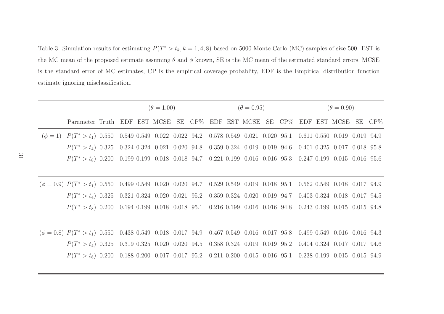Table 3: Simulation results for estimating  $P(T^* > t_k, k = 1, 4, 8)$  based on 5000 Monte Carlo (MC) samples of size 500. EST is the MC mean of the proposed estimate assuming  $\theta$  and  $\phi$  known, SE is the MC mean of the estimated standard errors, MCSE is the standard error of MC estimates, CP is the empirical coverage probablity, EDF is the Empirical distribution functionestimate ignoring misclassification.

<span id="page-41-0"></span>

|                                                                                                                            | $(\theta = 1.00)$ |  |  |  |  |  | $(\theta = 0.95)$ |  | $(\theta = 0.90)$ |  |  |  |  |
|----------------------------------------------------------------------------------------------------------------------------|-------------------|--|--|--|--|--|-------------------|--|-------------------|--|--|--|--|
| Parameter Truth EDF EST MCSE SE CP% EDF EST MCSE SE CP% EDF EST MCSE SE CP%                                                |                   |  |  |  |  |  |                   |  |                   |  |  |  |  |
| $(\phi = 1) P(T^* > t_1) 0.550 0.549 0.549 0.022 0.022 94.2 0.578 0.549 0.021 0.020 95.1 0.611 0.550 0.019 0.019 94.9$     |                   |  |  |  |  |  |                   |  |                   |  |  |  |  |
| $P(T^*>t_4)$ 0.325 0.324 0.324 0.021 0.020 94.8 0.359 0.324 0.019 0.019 94.6 0.401 0.325 0.017 0.018 95.8                  |                   |  |  |  |  |  |                   |  |                   |  |  |  |  |
| $P(T^*>t_8)$ 0.200 0.199 0.199 0.018 0.018 94.7 0.221 0.199 0.016 0.016 95.3 0.247 0.199 0.015 0.016 95.6                  |                   |  |  |  |  |  |                   |  |                   |  |  |  |  |
|                                                                                                                            |                   |  |  |  |  |  |                   |  |                   |  |  |  |  |
| $(\phi = 0.9)$ $P(T^* > t_1)$ 0.550 0.499 0.549 0.020 0.020 94.7 0.529 0.549 0.019 0.018 95.1 0.562 0.549 0.018 0.017 94.9 |                   |  |  |  |  |  |                   |  |                   |  |  |  |  |
| $P(T^*>t_4)$ 0.325 0.321 0.324 0.020 0.021 95.2 0.359 0.324 0.020 0.019 94.7 0.403 0.324 0.018 0.017 94.5                  |                   |  |  |  |  |  |                   |  |                   |  |  |  |  |
| $P(T^*>t_8)$ 0.200 0.194 0.199 0.018 0.018 95.1 0.216 0.199 0.016 0.016 94.8 0.243 0.199 0.015 0.015 94.8                  |                   |  |  |  |  |  |                   |  |                   |  |  |  |  |
|                                                                                                                            |                   |  |  |  |  |  |                   |  |                   |  |  |  |  |
| $(\phi = 0.8)$ $P(T^* > t_1)$ 0.550 0.438 0.549 0.018 0.017 94.9 0.467 0.549 0.016 0.017 95.8 0.499 0.549 0.016 0.016 94.3 |                   |  |  |  |  |  |                   |  |                   |  |  |  |  |
| $P(T^*>t_4)$ 0.325 0.319 0.325 0.020 0.020 94.5 0.358 0.324 0.019 0.019 95.2 0.404 0.324 0.017 0.017 94.6                  |                   |  |  |  |  |  |                   |  |                   |  |  |  |  |
| $P(T^*>t_8)$ 0.200 0.188 0.200 0.017 0.017 95.2 0.211 0.200 0.015 0.016 95.1 0.238 0.199 0.015 0.015 94.9                  |                   |  |  |  |  |  |                   |  |                   |  |  |  |  |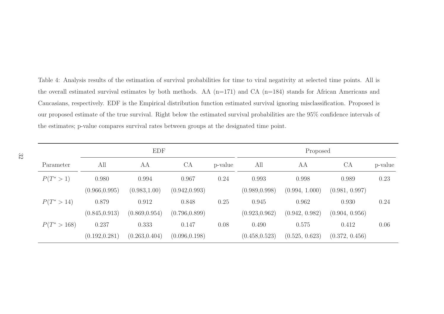Table 4: Analysis results of the estimation of survival probabilities for time to viral negativity at selected time points. All is the overall estimated survival estimates by both methods. AA (n=171) and CA (n=184) stands for African Americans and Caucasians, respectively. EDF is the Empirical distribution function estimated survival ignoring misclassification. Proposed is our proposed estimate of the true survival. Right below the estimated survival probabilities are the 95% confidence intervals of the estimates; p-value compares survival rates between groups at the designated time point.

<span id="page-42-0"></span>

|              |                | <b>EDF</b>     |                |         | Proposed       |                |                |         |  |  |  |
|--------------|----------------|----------------|----------------|---------|----------------|----------------|----------------|---------|--|--|--|
| Parameter    | All            | AA             | CA             | p-value | All            | AA             | <b>CA</b>      | p-value |  |  |  |
| $P(T^*>1)$   | 0.980          | 0.994          | 0.967          | 0.24    | 0.993          | 0.998          | 0.989          | 0.23    |  |  |  |
|              | (0.966, 0.995) | (0.983, 1.00)  | (0.942, 0.993) |         | (0.989, 0.998) | (0.994, 1.000) | (0.981, 0.997) |         |  |  |  |
| $P(T^*>14)$  | 0.879          | 0.912          | 0.848          | 0.25    | 0.945          | 0.962          | 0.930          | 0.24    |  |  |  |
|              | (0.845, 0.913) | (0.869, 0.954) | (0.796, 0.899) |         | (0.923, 0.962) | (0.942, 0.982) | (0.904, 0.956) |         |  |  |  |
| $P(T^*>168)$ | 0.237          | 0.333          | 0.147          | 0.08    | 0.490          | 0.575          | 0.412          | 0.06    |  |  |  |
|              | (0.192, 0.281) | (0.263, 0.404) | (0.096, 0.198) |         | (0.458, 0.523) | (0.525, 0.623) | (0.372, 0.456) |         |  |  |  |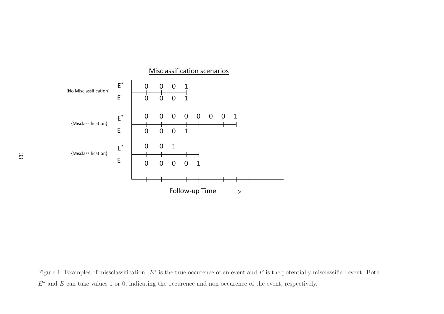

<span id="page-43-0"></span>Figure 1: Examples of missclassification.  $E^*$  is the true occurence of an event and  $E$  is the potentially misclassified event. Both  $E^*$  and E can take values 1 or 0, indicating the occurence and non-occurence of the event, respectively.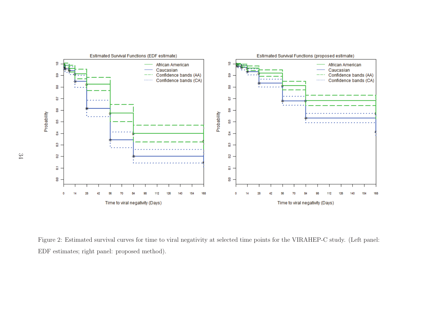

<span id="page-44-0"></span>Figure 2: Estimated survival curves for time to viral negativity at selected time points for the VIRAHEP-C study. (Left panel: EDF estimates; right panel: proposed method).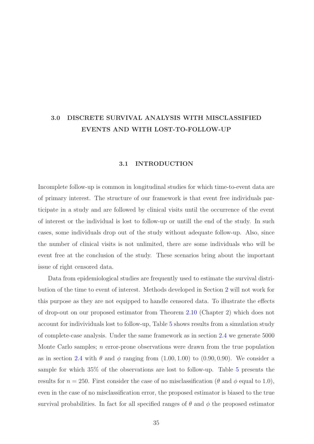### <span id="page-45-1"></span><span id="page-45-0"></span>3.0 DISCRETE SURVIVAL ANALYSIS WITH MISCLASSIFIED EVENTS AND WITH LOST-TO-FOLLOW-UP

#### 3.1 INTRODUCTION

Incomplete follow-up is common in longitudinal studies for which time-to-event data are of primary interest. The structure of our framework is that event free individuals participate in a study and are followed by clinical visits until the occurrence of the event of interest or the individual is lost to follow-up or untill the end of the study. In such cases, some individuals drop out of the study without adequate follow-up. Also, since the number of clinical visits is not unlimited, there are some individuals who will be event free at the conclusion of the study. These scenarios bring about the important issue of right censored data.

Data from epidemiological studies are frequently used to estimate the survival distribution of the time to event of interest. Methods developed in Section [2](#page-19-0) will not work for this purpose as they are not equipped to handle censored data. To illustrate the effects of drop-out on our proposed estimator from Theorem [2.10](#page-32-0) (Chapter 2) which does not account for indivividuals lost to follow-up, Table [5](#page-55-0) shows results from a simulation study of complete-case analysis. Under the same framework as in section [2.4](#page-34-0) we generate 5000 Monte Carlo samples; n error-prone observations were drawn from the true population as in section [2.4](#page-34-0) with  $\theta$  and  $\phi$  ranging from  $(1.00, 1.00)$  to  $(0.90, 0.90)$ . We consider a sample for which 35% of the observations are lost to follow-up. Table [5](#page-55-0) presents the results for  $n = 250$ . First consider the case of no misclassification ( $\theta$  and  $\phi$  equal to 1.0), even in the case of no misclassification error, the proposed estimator is biased to the true survival probabilities. In fact for all specified ranges of  $\theta$  and  $\phi$  the proposed estimator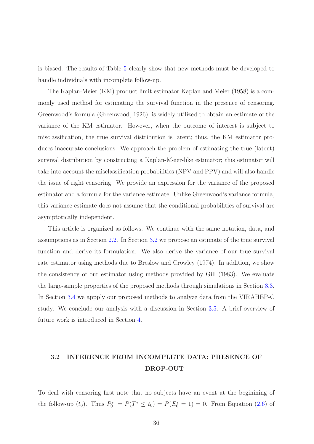is biased. The results of Table [5](#page-55-0) clearly show that new methods must be developed to handle individuals with incomplete follow-up.

The Kaplan-Meier (KM) product limit estimator Kaplan and Meier (1958) is a commonly used method for estimating the survival function in the presence of censoring. Greenwood's formula (Greenwood, 1926), is widely utilized to obtain an estimate of the variance of the KM estimator. However, when the outcome of interest is subject to misclassification, the true survival distribution is latent; thus, the KM estimator produces inaccurate conclusions. We approach the problem of estimating the true (latent) survival distribution by constructing a Kaplan-Meier-like estimator; this estimator will take into account the misclassification probabilities (NPV and PPV) and will also handle the issue of right censoring. We provide an expression for the variance of the proposed estimator and a formula for the variance estimate. Unlike Greenwood's variance formula, this variance estimate does not assume that the conditional probabilities of survival are asymptotically independent.

This article is organized as follows. We continue with the same notation, data, and assumptions as in Section [2.2.](#page-27-0) In Section [3.2](#page-46-0) we propose an estimate of the true survival function and derive its formulation. We also derive the variance of our true survival rate estimator using methods due to Breslow and Crowley (1974). In addition, we show the consistency of our estimator using methods provided by Gill (1983). We evaluate the large-sample properties of the proposed methods through simulations in Section [3.3.](#page-50-0) In Section [3.4](#page-52-0) we appply our proposed methods to analyze data from the VIRAHEP-C study. We conclude our analysis with a discussion in Section [3.5.](#page-54-0) A brief overview of future work is introduced in Section [4.](#page-60-0)

### <span id="page-46-0"></span>3.2 INFERENCE FROM INCOMPLETE DATA: PRESENCE OF DROP-OUT

To deal with censoring first note that no subjects have an event at the beginining of the follow-up  $(t_0)$ . Thus  $P_{01}^* = P(T^* \le t_0) = P(E_0^* = 1) = 0$ . From Equation [\(2.6\)](#page-29-2) of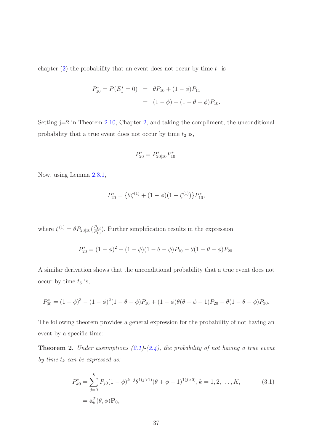chapter [\(2\)](#page-19-0) the probability that an event does not occur by time  $t_1$  is

$$
P_{10}^* = P(E_1^* = 0) = \theta P_{10} + (1 - \phi) P_{11}
$$

$$
= (1 - \phi) - (1 - \theta - \phi) P_{10}.
$$

Setting j=2 in Theorem [2.10,](#page-32-0) Chapter [2,](#page-19-0) and taking the compliment, the unconditional probability that a true event does not occur by time  $t_2$  is,

$$
P_{20}^* = P_{20|10}^* P_{10}^*.
$$

Now, using Lemma [2.3.1,](#page-29-1)

$$
P_{20}^* = \{ \theta \zeta^{(1)} + (1 - \phi)(1 - \zeta^{(1)}) \} P_{10}^*,
$$

where  $\zeta^{(1)} = \theta P_{20|10} (\frac{P_{10}}{P_{10}^*})$  $\frac{P_{10}}{P_{10}^*}$ ). Further simplification results in the expression

$$
P_{20}^* = (1 - \phi)^2 - (1 - \phi)(1 - \theta - \phi)P_{10} - \theta(1 - \theta - \phi)P_{20}.
$$

A similar derivation shows that the unconditional probability that a true event does not occur by time  $t_3$  is,

$$
P_{30}^* = (1 - \phi)^3 - (1 - \phi)^2 (1 - \theta - \phi) P_{10} + (1 - \phi) \theta (\theta + \phi - 1) P_{20} - \theta (1 - \theta - \phi) P_{30}.
$$

The following theorem provides a general expression for the probability of not having an event by a specific time:

Theorem 2. *Under assumptions [\(2.1\)](#page-28-0)-[\(2.4\)](#page-28-1), the probability of not having a true event by time*  $t_k$  *can be expressed as:* 

<span id="page-47-0"></span>
$$
P_{k0}^* = \sum_{j=0}^k P_{j0} (1 - \phi)^{k-j} \theta^{1(j>1)} (\theta + \phi - 1)^{1(j>0)}, k = 1, 2, ..., K,
$$
\n
$$
= \mathbf{a}_k^T(\theta, \phi) \mathbf{P}_0,
$$
\n(3.1)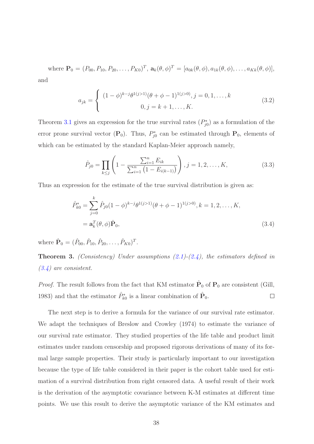where  $\mathbf{P}_0 = (P_{00}, P_{10}, P_{20}, \dots, P_{K0})^T$ ,  $\mathbf{a}_k(\theta, \phi)^T = [a_{0k}(\theta, \phi), a_{1k}(\theta, \phi), \dots, a_{Kk}(\theta, \phi)],$ and

$$
a_{jk} = \begin{cases} (1 - \phi)^{k - j} \theta^{1(j > 1)} (\theta + \phi - 1)^{1(j > 0)}, j = 0, 1, ..., k \\ 0, j = k + 1, ..., K. \end{cases}
$$
(3.2)

Theorem [3.1](#page-47-0) gives an expression for the true survival rates  $(P_{j0}^*)$  as a formulation of the error prone survival vector  $(P_0)$ . Thus,  $P_{j0}^*$  can be estimated through  $P_0$ , elements of which can be estimated by the standard Kaplan-Meier approach namely,

<span id="page-48-0"></span>
$$
\hat{P}_{j0} = \prod_{k \le j} \left( 1 - \frac{\sum_{i=1}^{n} E_{ik}}{\sum_{i=1}^{n} \left( 1 - E_{i(k-1)} \right)} \right), j = 1, 2, \dots, K,
$$
\n(3.3)

Thus an expression for the estimate of the true survival distribution is given as:

$$
\hat{P}_{k0}^{*} = \sum_{j=0}^{k} \hat{P}_{j0} (1 - \phi)^{k-j} \theta^{1(j>1)} (\theta + \phi - 1)^{1(j>0)}, k = 1, 2, ..., K,
$$
  
=  $\mathbf{a}_{k}^{T}(\theta, \phi) \hat{\mathbf{P}}_{0},$  (3.4)

where  $\hat{\mathbf{P}}_0 = (\hat{P}_{00}, \hat{P}_{10}, \hat{P}_{20}, \dots, \hat{P}_{K0})^T$ .

Theorem 3. *(Consistency) Under assumptions [\(2.1\)](#page-28-0)-[\(2.4\)](#page-28-1), the estimators defined in [\(3.4\)](#page-48-0) are consistent.*

*Proof.* The result follows from the fact that KM estimator  $\hat{P}_0$  of  $P_0$  are consistent (Gill, 1983) and that the estimator  $\hat{P}_{k0}^*$  is a linear combination of  $\hat{\mathbf{P}}_0$ .  $\Box$ 

The next step is to derive a formula for the variance of our survival rate estimator. We adapt the techniques of Breslow and Crowley (1974) to estimate the variance of our survival rate estimator. They studied properties of the life table and product limit estimates under random censorship and proposed rigorous derivations of many of its formal large sample properties. Their study is particularly important to our investigation because the type of life table considered in their paper is the cohort table used for estimation of a survival distribution from right censored data. A useful result of their work is the derivation of the asymptotic covariance between K-M estimates at different time points. We use this result to derive the asymptotic variance of the KM estimates and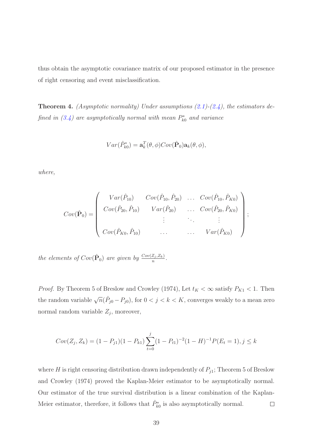thus obtain the asymptotic covariance matrix of our proposed estimator in the presence of right censoring and event misclassification.

Theorem 4. *(Asymptotic normality) Under assumptions [\(2.1\)](#page-28-0)-[\(2.4\)](#page-28-1), the estimators defined in*  $(3.4)$  *are asymptotically normal with mean*  $P_{k0}^*$  *and variance* 

$$
Var(\hat{P}_{k0}^*) = \mathbf{a}_k^T(\theta, \phi)Cov(\hat{P}_0)\mathbf{a}_k(\theta, \phi),
$$

*where,*

$$
Cov(\hat{\mathbf{P}}_0) = \begin{pmatrix} Var(\hat{P}_{10}) & Cov(\hat{P}_{10}, \hat{P}_{20}) & \dots & Cov(\hat{P}_{10}, \hat{P}_{K0}) \\ Cov(\hat{P}_{20}, \hat{P}_{10}) & Var(\hat{P}_{20}) & \dots & Cov(\hat{P}_{20}, \hat{P}_{K0}) \\ \vdots & \vdots & \ddots & \vdots \\ Cov(\hat{P}_{K0}, \hat{P}_{10}) & \dots & \dots & Var(\hat{P}_{K0}) \end{pmatrix};
$$

*the elements of*  $Cov(\hat{P}_0)$  *are given by*  $\frac{Cov(Z_j, Z_k)}{n}$ .

*Proof.* By Theorem 5 of Breslow and Crowley (1974), Let  $t_K < \infty$  satisfy  $P_{K1} < 1$ . Then the random variable  $\sqrt{n}(\hat{P}_{j0} - P_{j0})$ , for  $0 < j < k < K$ , converges weakly to a mean zero normal random variable  $Z_j$ , moreover,

$$
Cov(Z_j, Z_k) = (1 - P_{j1})(1 - P_{k1}) \sum_{t=0}^{j} (1 - P_{t1})^{-2} (1 - H)^{-1} P(E_t = 1), j \le k
$$

where H is right censoring distribution drawn independently of  $P_{j1}$ ; Theorem 5 of Breslow and Crowley (1974) proved the Kaplan-Meier estimator to be asymptotically normal. Our estimator of the true survival distribution is a linear combination of the Kaplan-Meier estimator, therefore, it follows that  $\hat{P}_{k0}^*$  is also asymptotically normal.  $\Box$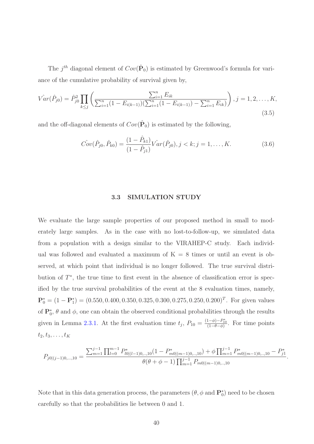The  $j^{th}$  diagonal element of  $Cov(\hat{P}_0)$  is estimated by Greenwood's formula for variance of the cumulative probability of survival given by,

$$
\hat{Var}(\hat{P}_{j0}) = \hat{P}_{j0}^2 \prod_{k \le j} \left( \frac{\sum_{i=1}^n E_{ik}}{\sum_{i=1}^n (1 - E_{i(k-1)}) (\sum_{i=1}^n (1 - E_{i(k-1)}) - \sum_{i=1}^n E_{ik})} \right), j = 1, 2, \dots, K,
$$
\n(3.5)

and the off-diagonal elements of  $Cov(\hat{P}_0)$  is estimated by the following,

$$
\hat{Cov}(\hat{P}_{j0}, \hat{P}_{k0}) = \frac{(1 - \hat{P}_{k1})}{(1 - \hat{P}_{j1})} \hat{Var}(\hat{P}_{j0}), j < k; j = 1, \dots, K. \tag{3.6}
$$

#### 3.3 SIMULATION STUDY

<span id="page-50-0"></span>We evaluate the large sample properties of our proposed method in small to moderately large samples. As in the case with no lost-to-follow-up, we simulated data from a population with a design similar to the VIRAHEP-C study. Each individual was followed and evaluated a maximum of  $K = 8$  times or until an event is observed, at which point that individual is no longer followed. The true survival distribution of  $T^*$ , the true time to first event in the absence of classification error is specified by the true survival probabilities of the event at the 8 evaluation times, namely,  $\mathbf{P}_0^* = (1 - \mathbf{P}_1^*) = (0.550, 0.400, 0.350, 0.325, 0.300, 0.275, 0.250, 0.200)^T$ . For given values of  $\mathbf{P}_0^*$ ,  $\theta$  and  $\phi$ , one can obtain the observed conditional probabilities through the results given in Lemma [2.3.1.](#page-29-1) At the first evaluation time  $t_j$ ,  $P_{10} = \frac{(1-\phi)-P_{10}^*}{(1-\theta-\phi)}$ . For time points  $t_2, t_3, \ldots, t_K$ 

$$
P_{j0|(j-1)0,\dots,10} = \frac{\sum_{m=1}^{j-1} \prod_{l=0}^{m-1} P_{l0|(l-1)0,\dots,10}^{*}(1 - P_{m0|(m-1)0,\dots,10}^{*}) + \phi \prod_{m=1}^{j-1} P_{m0|(m-1)0,\dots,10}^{*} - P_{j1}^{*}}{\theta(\theta + \phi - 1) \prod_{m=1}^{j-1} P_{m0|(m-1)0,\dots,10}}
$$

.

Note that in this data generation process, the parameters  $(\theta, \phi \text{ and } \mathbf{P}_0^*)$  need to be chosen carefully so that the probabilities lie between 0 and 1.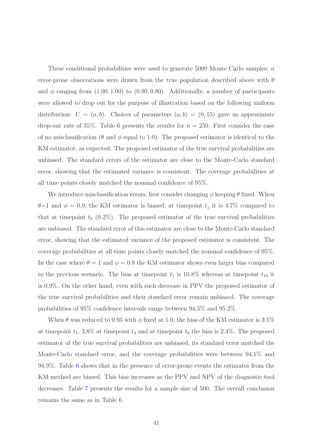These conditional probabilities were used to generate 5000 Monte Carlo samples; n error-prone observations were drawn from the true population described above with  $\theta$ and  $\phi$  ranging from  $(1.00, 1.00)$  to  $(0.90, 0.80)$ . Additionally, a number of participants were allowed to drop out for the purpose of illustration based on the following uniform distribution:  $U \sim (a, b)$ . Choices of parameters  $(a, b) = (0, 15)$  gave us approximate drop-out rate of 35%. Table [6](#page-56-0) presents the results for  $n = 250$ . First consider the case of no misclassification ( $\theta$  and  $\phi$  equal to 1.0). The proposed estimator is identical to the KM estimator, as expected. The proposed estimator of the true survival probabilities are unbiased. The standard errors of the estimator are close to the Monte-Carlo standard error, showing that the estimated variance is consistent. The coverage probabilities at all time points closely matched the nominal confidence of 95%.

We introduce misclassification errors, first consider changing  $\phi$  keeping  $\theta$  fixed. When  $\theta=1$  and  $\phi=0.9$ , the KM estimator is biased; at timepoint  $t_1$  it is 4.7% compared to that at timepoint  $t_8$  (0.2%). The proposed estimator of the true survival probabilities are unbiased. The standard error of this estimator are close to the Monte-Carlo standard error, showing that the estimated variance of the proposed estimator is consistent. The coverage probabilities at all time points closely matched the nominal confidence of 95%. In the case where  $\theta = 1$  and  $\phi = 0.8$  the KM estimator shows even larger bias compared to the previous scenario. The bias at timepoint  $t_1$  is 10.8% whereas at timepoint  $t_{10}$  it is 0.9%. On the other hand, even with such decrease in PPV the proposed estimator of the true survival probabilities and their standard error remain unbiased. The coverage probabilities of 95% confidence intervals range between 94.5% and 95.2%.

When  $\theta$  was reduced to 0.95 with  $\phi$  fixed at 1.0, the bias of the KM estimator is 3.1% at timepoint  $t_1$ , 3.8% at timepoint  $t_4$  and at timepoint  $t_8$  the bias is 2.4%. The proposed estimator of the true survival probabilities are unbiased, its standard error matched the Monte-Carlo standard error, and the coverage probabilities were between 94.1% and 94.9%. Table [6](#page-56-0) shows that in the presence of error-prone events the estimates from the KM method are biased. This bias increases as the PPV and NPV of the diagnostic tool decreases. Table [7](#page-57-0) presents the results for a sample size of 500. The overall conclusion remains the same as in Table [6.](#page-56-0)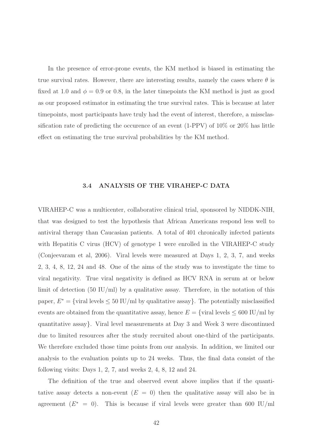In the presence of error-prone events, the KM method is biased in estimating the true survival rates. However, there are interesting results, namely the cases where  $\theta$  is fixed at 1.0 and  $\phi = 0.9$  or 0.8, in the later timepoints the KM method is just as good as our proposed estimator in estimating the true survival rates. This is because at later timepoints, most participants have truly had the event of interest, therefore, a missclassification rate of predicting the occurence of an event  $(1-PPV)$  of  $10\%$  or  $20\%$  has little effect on estimating the true survival probabilities by the KM method.

#### 3.4 ANALYSIS OF THE VIRAHEP-C DATA

<span id="page-52-0"></span>VIRAHEP-C was a multicenter, collaborative clinical trial, sponsored by NIDDK-NIH, that was designed to test the hypothesis that African Americans respond less well to antiviral therapy than Caucasian patients. A total of 401 chronically infected patients with Hepatitis C virus (HCV) of genotype 1 were enrolled in the VIRAHEP-C study (Conjeevaram et al, 2006). Viral levels were measured at Days 1, 2, 3, 7, and weeks 2, 3, 4, 8, 12, 24 and 48. One of the aims of the study was to investigate the time to viral negativity. True viral negativity is defined as HCV RNA in serum at or below limit of detection  $(50 \text{ IU/ml})$  by a qualitative assay. Therefore, in the notation of this paper,  $E^* = \{$ viral levels  $\leq 50$  IU/ml by qualitative assay}. The potentially misclassified events are obtained from the quantitative assay, hence  $E = \{$ viral levels  $\leq 600$  IU/ml by quantitative assay}. Viral level measurements at Day 3 and Week 3 were discontinued due to limited resources after the study recruited about one-third of the participants. We therefore excluded those time points from our analysis. In addition, we limited our analysis to the evaluation points up to 24 weeks. Thus, the final data consist of the following visits: Days 1, 2, 7, and weeks 2, 4, 8, 12 and 24.

The definition of the true and observed event above implies that if the quantitative assay detects a non-event  $(E = 0)$  then the qualitative assay will also be in agreement  $(E^* = 0)$ . This is because if viral levels were greater than 600 IU/ml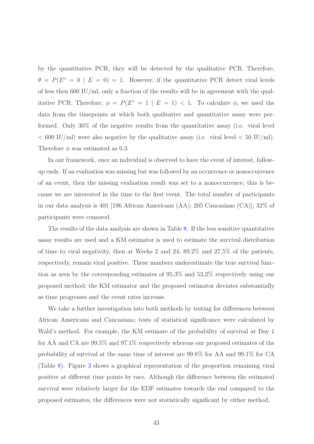by the quantitative PCR, they will be detected by the qualitative PCR. Therefore,  $\theta = P(E^* = 0 \mid E = 0) = 1$ . However, if the quantitative PCR detect viral levels of less then 600 IU/ml, only a fraction of the results will be in agreement with the qualitative PCR. Therefore,  $\phi = P(E^* = 1 | E = 1) < 1$ . To calculate  $\phi$ , we used the data from the timepoints at which both qualitative and quantitative assay were performed. Only 30% of the negative results from the quantitative assay (i.e. viral level  $< 600$  IU/ml) were also negative by the qualitative assay (i.e. viral level  $< 50$  IU/ml). Therefore  $\phi$  was estimated as 0.3.

In our framework, once an individual is observed to have the event of interest, followup ends. If an evaluation was missing but was followed by an occurrence or nonoccurrence of an event, then the missing evaluation result was set to a nonoccurrence, this is because we are interested in the time to the first event. The total number of participants in our data analysis is 401 [196 African Americans (AA); 205 Caucasians (CA)]; 32% of participants were censored.

The results of the data analysis are shown in Table [8.](#page-58-0) If the less sensitive quantitative assay results are used and a KM estimator is used to estimate the survival distribution of time to viral negativity, then at Weeks 2 and 24, 89.2% and 27.5% of the patients, respectively, remain viral positive. These numbers underestimate the true survival function as seen by the corresponding estimates of 95.3% and 53.2% respectively using our proposed method; the KM estimator and the proposed estimator deviates substantially as time progresses and the event rates increase.

We take a further investigation into both methods by testing for differences between African Americans and Caucasians; tests of statistical significance were calculated by Wald's method. For example, the KM estimate of the probability of survival at Day 1 for AA and CA are 99.5% and 97.1% respectively whereas our proposed estimates of the probability of survival at the same time of interest are 99.8% for AA and 99.1% for CA (Table [8\)](#page-58-0). Figure [3](#page-59-0) shows a graphical representation of the proportion remaining viral positive at different time points by race. Although the difference between the estimated survival were relatively larger for the EDF estimates towards the end compared to the proposed estimates, the differences were not statistically significant by either method.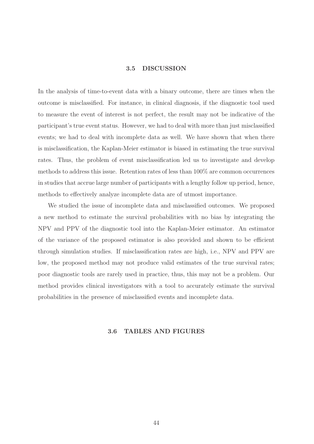#### 3.5 DISCUSSION

<span id="page-54-0"></span>In the analysis of time-to-event data with a binary outcome, there are times when the outcome is misclassified. For instance, in clinical diagnosis, if the diagnostic tool used to measure the event of interest is not perfect, the result may not be indicative of the participant's true event status. However, we had to deal with more than just misclassified events; we had to deal with incomplete data as well. We have shown that when there is misclassification, the Kaplan-Meier estimator is biased in estimating the true survival rates. Thus, the problem of event misclassification led us to investigate and develop methods to address this issue. Retention rates of less than 100% are common occurrences in studies that accrue large number of participants with a lengthy follow up period, hence, methods to effectively analyze incomplete data are of utmost importance.

We studied the issue of incomplete data and misclassified outcomes. We proposed a new method to estimate the survival probabilities with no bias by integrating the NPV and PPV of the diagnostic tool into the Kaplan-Meier estimator. An estimator of the variance of the proposed estimator is also provided and shown to be efficient through simulation studies. If misclassification rates are high, i.e., NPV and PPV are low, the proposed method may not produce valid estimates of the true survival rates; poor diagnostic tools are rarely used in practice, thus, this may not be a problem. Our method provides clinical investigators with a tool to accurately estimate the survival probabilities in the presence of misclassified events and incomplete data.

#### <span id="page-54-1"></span>3.6 TABLES AND FIGURES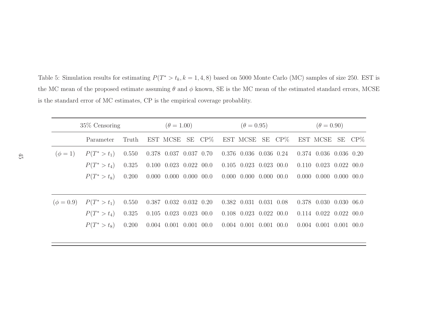Table 5: Simulation results for estimating  $P(T^* > t_k, k = 1, 4, 8)$  based on 5000 Monte Carlo (MC) samples of size 250. EST is the MC mean of the proposed estimate assuming  $\theta$  and  $\phi$  known, SE is the MC mean of the estimated standard errors, MCSE is the standard error of MC estimates, CP is the empirical coverage probablity.

<span id="page-55-0"></span>

|                | $35\%$ Censoring | $(\theta = 1.00)$ |                                |        | $(\theta = 0.95)$              |                                | $(\theta = 0.90)$ |  |                                |    |        |
|----------------|------------------|-------------------|--------------------------------|--------|--------------------------------|--------------------------------|-------------------|--|--------------------------------|----|--------|
|                | Parameter        | Truth             | EST MCSE                       | SE CP% |                                | EST MCSE SE CP%                |                   |  | EST MCSE                       | SE | $CP\%$ |
| $(\phi = 1)$   | $P(T^*>t_1)$     | 0.550             | 0.378 0.037 0.037 0.70         |        |                                | $0.376$ $0.036$ $0.036$ $0.24$ |                   |  | $0.374$ $0.036$ $0.036$ $0.20$ |    |        |
|                | $P(T^*>t_4)$     | 0.325             | $0.100$ $0.023$ $0.022$ $00.0$ |        |                                | $0.105$ $0.023$ $0.023$ $00.0$ |                   |  | $0.110$ $0.023$ $0.022$        |    | 00.0   |
|                | $P(T^*>t_8)$     | 0.200             | $0.000$ $0.000$ $0.000$ $00.0$ |        |                                | $0.000$ $0.000$ $0.000$ $00.0$ |                   |  | $0.000$ $0.000$ $0.000$        |    | 00.0   |
|                |                  |                   |                                |        |                                |                                |                   |  |                                |    |        |
| $(\phi = 0.9)$ | $P(T^*>t_1)$     | 0.550             | $0.387$ $0.032$ $0.032$ $0.20$ |        |                                | $0.382$ $0.031$ $0.031$ $0.08$ |                   |  | 0.378 0.030 0.030              |    | 06.0   |
|                | $P(T^*>t_4)$     | 0.325             | $0.105$ $0.023$ $0.023$ $00.0$ |        |                                | $0.108$ $0.023$ $0.022$ $00.0$ |                   |  | $0.114$ $0.022$ $0.022$        |    | 00.0   |
|                | $P(T^*>t_8)$     | 0.200             | $0.004$ $0.001$ $0.001$ $00.0$ |        | $0.004$ $0.001$ $0.001$ $00.0$ |                                |                   |  | $0.004$ $0.001$ $0.001$        |    | (0.00) |
|                |                  |                   |                                |        |                                |                                |                   |  |                                |    |        |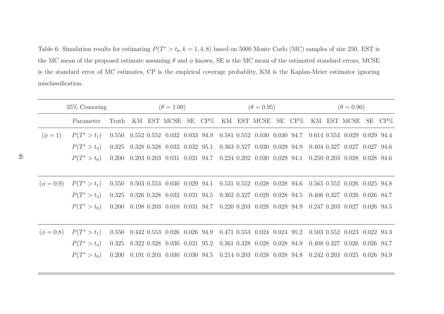Table 6: Simulation results for estimating  $P(T^* > t_k, k = 1, 4, 8)$  based on 5000 Monte Carlo (MC) samples of size 250. EST is the MC mean of the proposed estimate assuming  $\theta$  and  $\phi$  known, SE is the MC mean of the estimated standard errors, MCSE is the standard error of MC estimates, CP is the empirical coverage probablity, KM is the Kaplan-Meier estimator ignoring misclassification.

<span id="page-56-0"></span>

|                | $35\%$ Censoring |       |  | $(\theta = 1.00)$ |                                                                                                                                                                                          |  |  | $(\theta = 0.95)$ |  |                              |  |  | $(\theta = 0.90)$ |  |                                        |  |  |
|----------------|------------------|-------|--|-------------------|------------------------------------------------------------------------------------------------------------------------------------------------------------------------------------------|--|--|-------------------|--|------------------------------|--|--|-------------------|--|----------------------------------------|--|--|
|                | Parameter        | Truth |  |                   | KM EST MCSE SE CP% KM EST MCSE SE CP%                                                                                                                                                    |  |  |                   |  |                              |  |  |                   |  | KM EST MCSE SE CP%                     |  |  |
| $(\phi = 1)$   | $P(T^*>t_1)$     |       |  |                   | $0.550$ $0.552$ $0.552$ $0.032$ $0.033$ $94.9$ $0.581$ $0.552$ $0.030$ $0.030$ $94.7$ $0.614$ $0.553$ $0.029$ $0.029$ $94.4$                                                             |  |  |                   |  |                              |  |  |                   |  |                                        |  |  |
|                | $P(T^*>t_4)$     |       |  |                   | $0.325 \quad 0.328 \quad 0.328 \quad 0.032 \quad 0.032 \quad 95.1 \quad 0.363 \quad 0.327 \quad 0.030 \quad 0.029 \quad 94.9 \quad 0.404 \quad 0.327 \quad 0.027 \quad 0.027 \quad 94.6$ |  |  |                   |  |                              |  |  |                   |  |                                        |  |  |
|                | $P(T^*>t_8)$     |       |  |                   | $0.200$ $0.203$ $0.203$ $0.031$ $0.031$ $94.7$ $0.224$ $0.202$ $0.030$ $0.029$ $94.1$                                                                                                    |  |  |                   |  |                              |  |  |                   |  | 0.250 0.203 0.028 0.028 94.6           |  |  |
|                |                  |       |  |                   |                                                                                                                                                                                          |  |  |                   |  |                              |  |  |                   |  |                                        |  |  |
| $(\phi = 0.9)$ | $P(T^*>t_1)$     |       |  |                   | $0.550$ $0.503$ $0.553$ $0.030$ $0.029$ $94.1$ $0.531$ $0.552$ $0.028$ $0.028$ $94.6$                                                                                                    |  |  |                   |  |                              |  |  |                   |  | $0.565$ $0.552$ $0.026$ $0.025$ $94.8$ |  |  |
|                | $P(T^*>t_4)$     |       |  |                   | $0.325 \quad 0.326 \quad 0.328 \quad 0.032 \quad 0.031 \quad 94.5 \quad 0.362 \quad 0.327 \quad 0.029 \quad 0.028 \quad 94.5 \quad 0.406 \quad 0.327 \quad 0.026 \quad 0.026 \quad 94.7$ |  |  |                   |  |                              |  |  |                   |  |                                        |  |  |
|                | $P(T^*>t_8)$     |       |  |                   | $0.200$ $0.198$ $0.203$ $0.010$ $0.031$ $94.7$ $0.220$ $0.203$ $0.028$ $0.029$ $94.9$ $0.247$ $0.203$ $0.027$ $0.026$ $94.5$                                                             |  |  |                   |  |                              |  |  |                   |  |                                        |  |  |
|                |                  |       |  |                   |                                                                                                                                                                                          |  |  |                   |  |                              |  |  |                   |  |                                        |  |  |
| $(\phi = 0.8)$ | $P(T^*>t_1)$     |       |  |                   | 0.550 0.442 0.553 0.026 0.026 94.9 0.471 0.553 0.024 0.024 95.2                                                                                                                          |  |  |                   |  |                              |  |  |                   |  | $0.503$ $0.552$ $0.023$ $0.022$ $94.3$ |  |  |
|                | $P(T^*>t_4)$     |       |  |                   | $0.325$ $0.322$ $0.328$ $0.030$ $0.031$ $95.2$ $0.361$ $0.328$ $0.028$ $0.028$ $94.9$ $0.408$ $0.327$ $0.026$ $0.026$ $94.7$                                                             |  |  |                   |  |                              |  |  |                   |  |                                        |  |  |
|                | $P(T^*>t_8)$     |       |  |                   | $0.200$ $0.191$ $0.203$ $0.030$ $0.030$ $94.5$                                                                                                                                           |  |  |                   |  | 0.214 0.203 0.028 0.028 94.8 |  |  |                   |  | $0.242$ $0.203$ $0.025$ $0.026$ $94.9$ |  |  |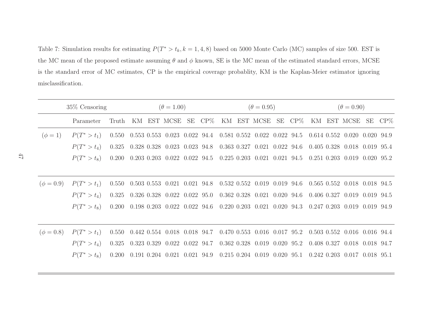Table 7: Simulation results for estimating  $P(T^* > t_k, k = 1, 4, 8)$  based on 5000 Monte Carlo (MC) samples of size 500. EST is the MC mean of the proposed estimate assuming  $\theta$  and  $\phi$  known, SE is the MC mean of the estimated standard errors, MCSE is the standard error of MC estimates, CP is the empirical coverage probablity, KM is the Kaplan-Meier estimator ignoring misclassification.

<span id="page-57-0"></span>

|                | $35\%$ Censoring |       |  | $(\theta = 1.00)$ |                                                                                                                                                                                          |  |  | $(\theta = 0.95)$ |  |                                        |  |  | $(\theta = 0.90)$ |  |                                                                               |  |  |
|----------------|------------------|-------|--|-------------------|------------------------------------------------------------------------------------------------------------------------------------------------------------------------------------------|--|--|-------------------|--|----------------------------------------|--|--|-------------------|--|-------------------------------------------------------------------------------|--|--|
|                | Parameter        | Truth |  |                   | KM EST MCSE SE CP% KM EST MCSE SE CP%                                                                                                                                                    |  |  |                   |  |                                        |  |  |                   |  | KM EST MCSE SE CP%                                                            |  |  |
| $(\phi = 1)$   | $P(T^*>t_1)$     |       |  |                   | $0.550 \quad 0.553 \quad 0.553 \quad 0.023 \quad 0.022 \quad 94.4 \quad 0.581 \quad 0.552 \quad 0.022 \quad 0.022 \quad 94.5 \quad 0.614 \quad 0.552 \quad 0.020 \quad 0.020 \quad 94.9$ |  |  |                   |  |                                        |  |  |                   |  |                                                                               |  |  |
|                | $P(T^*>t_4)$     |       |  |                   | 0.325 0.328 0.328 0.023 0.023 94.8 0.363 0.327 0.021 0.022 94.6                                                                                                                          |  |  |                   |  |                                        |  |  |                   |  | 0.405 0.328 0.018 0.019 95.4                                                  |  |  |
|                | $P(T^*>t_8)$     |       |  |                   | $0.200$ $0.203$ $0.203$ $0.022$ $0.022$ $94.5$ $0.225$ $0.203$ $0.021$ $0.021$ $94.5$                                                                                                    |  |  |                   |  |                                        |  |  |                   |  | $0.251$ $0.203$ $0.019$ $0.020$ $95.2$                                        |  |  |
|                |                  |       |  |                   |                                                                                                                                                                                          |  |  |                   |  |                                        |  |  |                   |  |                                                                               |  |  |
| $(\phi = 0.9)$ | $P(T^*>t_1)$     |       |  |                   | $0.550$ $0.503$ $0.553$ $0.021$ $0.021$ $94.8$ $0.532$ $0.552$ $0.019$ $0.019$ $94.6$                                                                                                    |  |  |                   |  |                                        |  |  |                   |  | 0.565 0.552 0.018 0.018 94.5                                                  |  |  |
|                | $P(T^*>t_4)$     |       |  |                   | $0.325$ $0.326$ $0.328$ $0.022$ $0.022$ $95.0$                                                                                                                                           |  |  |                   |  | $0.362$ $0.328$ $0.021$ $0.020$ $94.6$ |  |  |                   |  | $0.406$ $0.327$ $0.019$ $0.019$ $94.5$                                        |  |  |
|                | $P(T^*>t_8)$     |       |  |                   | $0.200$ $0.198$ $0.203$ $0.022$ $0.022$ $94.6$                                                                                                                                           |  |  |                   |  |                                        |  |  |                   |  | $0.220$ $0.203$ $0.021$ $0.020$ $94.3$ $0.247$ $0.203$ $0.019$ $0.019$ $94.9$ |  |  |
|                |                  |       |  |                   |                                                                                                                                                                                          |  |  |                   |  |                                        |  |  |                   |  |                                                                               |  |  |
| $(\phi = 0.8)$ | $P(T^*>t_1)$     |       |  |                   | 0.550 0.442 0.554 0.018 0.018 94.7 0.470 0.553 0.016 0.017 95.2                                                                                                                          |  |  |                   |  |                                        |  |  |                   |  | 0.503 0.552 0.016 0.016 94.4                                                  |  |  |
|                | $P(T^*>t_4)$     |       |  |                   | $0.325$ $0.323$ $0.329$ $0.022$ $0.022$ $94.7$ $0.362$ $0.328$ $0.019$ $0.020$ $95.2$                                                                                                    |  |  |                   |  |                                        |  |  |                   |  | 0.408 0.327 0.018 0.018 94.7                                                  |  |  |
|                | $P(T^*>t_8)$     |       |  |                   | $0.200$ $0.191$ $0.204$ $0.021$ $0.021$ $94.9$                                                                                                                                           |  |  |                   |  | $0.215$ $0.204$ $0.019$ $0.020$ $95.1$ |  |  |                   |  | $0.242$ $0.203$ $0.017$ $0.018$ $95.1$                                        |  |  |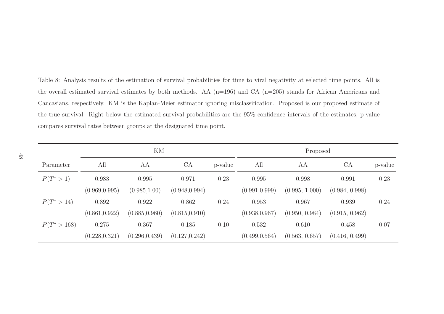Table 8: Analysis results of the estimation of survival probabilities for time to viral negativity at selected time points. All is the overall estimated survival estimates by both methods. AA (n=196) and CA (n=205) stands for African Americans and Caucasians, respectively. KM is the Kaplan-Meier estimator ignoring misclassification. Proposed is our proposed estimate of the true survival. Right below the estimated survival probabilities are the 95% confidence intervals of the estimates; p-value compares survival rates between groups at the designated time point.

<span id="page-58-0"></span>

|              |                | KM             |                |         | Proposed       |                |                |         |  |  |  |
|--------------|----------------|----------------|----------------|---------|----------------|----------------|----------------|---------|--|--|--|
| Parameter    | All            | AA             | <b>CA</b>      | p-value | All            | AА             | CA             | p-value |  |  |  |
| $P(T^*>1)$   | 0.983          | 0.995          | 0.971          | 0.23    | 0.995          | 0.998          | 0.991          | 0.23    |  |  |  |
|              | (0.969, 0.995) | (0.985, 1.00)  | (0.948, 0.994) |         | (0.991, 0.999) | (0.995, 1.000) | (0.984, 0.998) |         |  |  |  |
| $P(T^*>14)$  | 0.892          | 0.922          | 0.862          | 0.24    | 0.953          | 0.967          | 0.939          | 0.24    |  |  |  |
|              | (0.861, 0.922) | (0.885, 0.960) | (0.815, 0.910) |         | (0.938, 0.967) | (0.950, 0.984) | (0.915, 0.962) |         |  |  |  |
| $P(T^*>168)$ | 0.275          | 0.367          | 0.185          | 0.10    | 0.532          | 0.610          | 0.458          | 0.07    |  |  |  |
|              | (0.228, 0.321) | (0.296, 0.439) | (0.127, 0.242) |         | (0.499, 0.564) | (0.563, 0.657) | (0.416, 0.499) |         |  |  |  |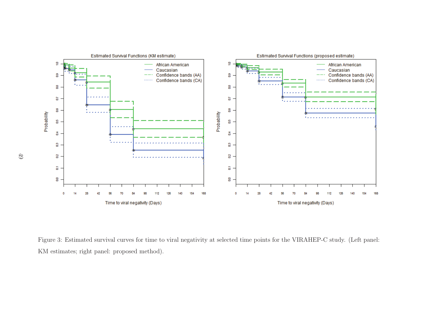

<span id="page-59-0"></span>Figure 3: Estimated survival curves for time to viral negativity at selected time points for the VIRAHEP-C study. (Left panel: KM estimates; right panel: proposed method).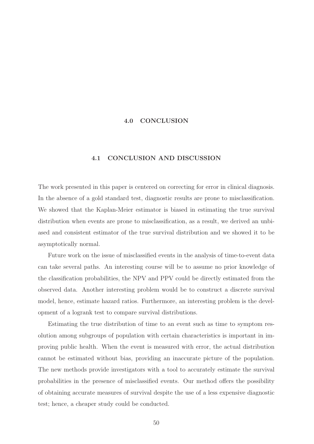#### <span id="page-60-0"></span>4.0 CONCLUSION

#### 4.1 CONCLUSION AND DISCUSSION

<span id="page-60-1"></span>The work presented in this paper is centered on correcting for error in clinical diagnosis. In the absence of a gold standard test, diagnostic results are prone to misclassification. We showed that the Kaplan-Meier estimator is biased in estimating the true survival distribution when events are prone to misclassification, as a result, we derived an unbiased and consistent estimator of the true survival distribution and we showed it to be asymptotically normal.

Future work on the issue of misclassified events in the analysis of time-to-event data can take several paths. An interesting course will be to assume no prior knowledge of the classification probabilities, the NPV and PPV could be directly estimated from the observed data. Another interesting problem would be to construct a discrete survival model, hence, estimate hazard ratios. Furthermore, an interesting problem is the development of a logrank test to compare survival distributions.

Estimating the true distribution of time to an event such as time to symptom resolution among subgroups of population with certain characteristics is important in improving public health. When the event is measured with error, the actual distribution cannot be estimated without bias, providing an inaccurate picture of the population. The new methods provide investigators with a tool to accurately estimate the survival probabilities in the presence of misclassified events. Our method offers the possibility of obtaining accurate measures of survival despite the use of a less expensive diagnostic test; hence, a cheaper study could be conducted.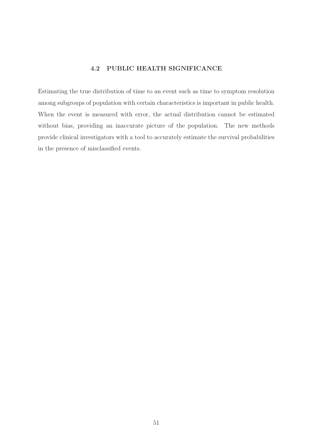#### 4.2 PUBLIC HEALTH SIGNIFICANCE

<span id="page-61-0"></span>Estimating the true distribution of time to an event such as time to symptom resolution among subgroups of population with certain characteristics is important in public health. When the event is measured with error, the actual distribution cannot be estimated without bias, providing an inaccurate picture of the population. The new methods provide clinical investigators with a tool to accurately estimate the survival probabilities in the presence of misclassified events.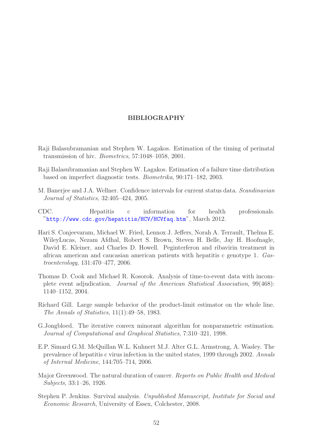#### BIBLIOGRAPHY

- <span id="page-62-0"></span>Raji Balasubramanian and Stephen W. Lagakos. Estimation of the timing of perinatal transmission of hiv. *Biometrics*, 57:1048–1058, 2001.
- Raji Balasubramanian and Stephen W. Lagakos. Estimation of a failure time distribution based on imperfect diagnostic tests. *Biometrika*, 90:171–182, 2003.
- M. Banerjee and J.A. Wellner. Confidence intervals for current status data. *Scandinavian Journal of Statistics*, 32:405–424, 2005.
- <span id="page-62-1"></span>CDC. Hepatitis c information for health professionals. "<http://www.cdc.gov/hepatitis/HCV/HCVfaq.htm>", March 2012.
- Hari S. Conjeevaram, Michael W. Fried, Lennox J. Jeffers, Norah A. Terrault, Thelma E. WileyLucas, Nezam Afdhal, Robert S. Brown, Steven H. Belle, Jay H. Hoofnagle, David E. Kleiner, and Charles D. Howell. Peginterferon and ribavirin treatment in african american and caucasian american patients with hepatitis c genotype 1. *Gastroenterology*, 131:470–477, 2006.
- Thomas D. Cook and Michael R. Kosorok. Analysis of time-to-event data with incomplete event adjudication. *Journal of the American Statistical Association*, 99(468): 1140–1152, 2004.
- Richard Gill. Large sample behavior of the product-limit estimator on the whole line. *The Annals of Statistics*, 11(1):49–58, 1983.
- G.Jongbloed. The iterative convex minorant algorithm for nonparametric estimation. *Journal of Computational and Graphical Statistics*, 7:310–321, 1998.
- <span id="page-62-2"></span>E.P. Simard G.M. McQuillan W.L. Kuhnert M.J. Alter G.L. Armstrong, A. Wasley. The prevalence of hepatitis c virus infection in the united states, 1999 through 2002. *Annals of Internal Medicine*, 144:705–714, 2006.
- <span id="page-62-3"></span>Major Greenwood. The natural duration of cancer. *Reports on Public Health and Medical Subjects*, 33:1–26, 1926.
- Stephen P. Jenkins. Survival analysis. *Unpublished Manuscript, Institute for Social and Economic Research*, University of Essex, Colchester, 2008.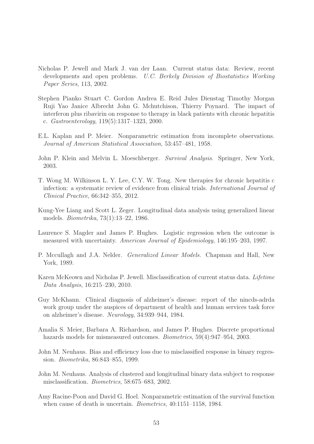- Nicholas P. Jewell and Mark J. van der Laan. Current status data: Review, recent developments and open problems. *U.C. Berkely Division of Biostatistics Working Paper Series*, 113, 2002.
- <span id="page-63-3"></span>Stephen Pianko Stuart C. Gordon Andrea E. Reid Jules Dienstag Timothy Morgan Ruji Yao Janice Albrecht John G. Mchutchison, Thierry Poynard. The impact of interferon plus ribavirin on response to therapy in black patients with chronic hepatitis c. *Gastroenterology*, 119(5):1317–1323, 2000.
- <span id="page-63-1"></span>E.L. Kaplan and P. Meier. Nonparametric estimation from incomplete observations. *Journal of American Statistical Association*, 53:457–481, 1958.
- <span id="page-63-0"></span>John P. Klein and Melvin L. Moeschberger. *Survival Analysis*. Springer, New York, 2003.
- <span id="page-63-4"></span>T. Wong M. Wilkinson L. Y. Lee, C.Y. W. Tong. New therapies for chronic hepatitis c infection: a systematic review of evidence from clinical trials. *International Journal of Clinical Practice*, 66:342–355, 2012.
- <span id="page-63-2"></span>Kung-Yee Liang and Scott L. Zeger. Longitudinal data analysis using generalized linear models. *Biometrika*, 73(1):13–22, 1986.
- Laurence S. Magder and James P. Hughes. Logistic regression when the outcome is measured with uncertainty. *American Journal of Epidemiology*, 146:195–203, 1997.
- P. Mccullagh and J.A. Nelder. *Generalized Linear Models*. Chapman and Hall, New York, 1989.
- Karen McKeown and Nicholas P. Jewell. Misclassification of current status data. *Lifetime Data Analysis*, 16:215–230, 2010.
- Guy McKhann. Clinical diagnosis of alzheimer's disease: report of the nincds-adrda work group under the auspices of department of health and human services task force on alzheimer's disease. *Neurology*, 34:939–944, 1984.
- Amalia S. Meier, Barbara A. Richardson, and James P. Hughes. Discrete proportional hazards models for mismeasured outcomes. *Biometrics*, 59(4):947–954, 2003.
- John M. Neuhaus. Bias and efficiency loss due to misclassified response in binary regression. *Biometrika*, 86:843–855, 1999.
- John M. Neuhaus. Analysis of clustered and longitudinal binary data subject to response misclassification. *Biometrics*, 58:675–683, 2002.
- Amy Racine-Poon and David G. Hoel. Nonparametric estimation of the survival function when cause of death is uncertain. *Biometrics*, 40:1151–1158, 1984.